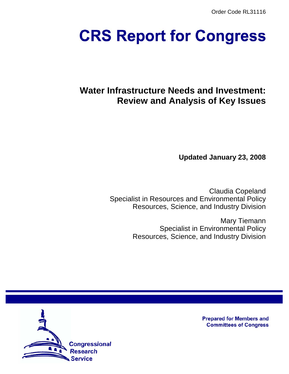Order Code RL31116

# **CRS Report for Congress**

# **Water Infrastructure Needs and Investment: Review and Analysis of Key Issues**

**Updated January 23, 2008**

Claudia Copeland Specialist in Resources and Environmental Policy Resources, Science, and Industry Division

> Mary Tiemann Specialist in Environmental Policy Resources, Science, and Industry Division



**Prepared for Members and Committees of Congress**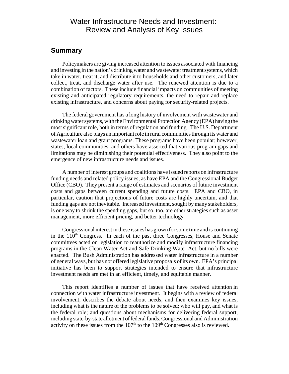## Water Infrastructure Needs and Investment: Review and Analysis of Key Issues

## **Summary**

Policymakers are giving increased attention to issues associated with financing and investing in the nation's drinking water and wastewater treatment systems, which take in water, treat it, and distribute it to households and other customers, and later collect, treat, and discharge water after use. The renewed attention is due to a combination of factors. These include financial impacts on communities of meeting existing and anticipated regulatory requirements, the need to repair and replace existing infrastructure, and concerns about paying for security-related projects.

The federal government has a long history of involvement with wastewater and drinking water systems, with the Environmental Protection Agency (EPA) having the most significant role, both in terms of regulation and funding. The U.S. Department of Agriculture also plays an important role in rural communities through its water and wastewater loan and grant programs. These programs have been popular; however, states, local communities, and others have asserted that various program gaps and limitations may be diminishing their potential effectiveness. They also point to the emergence of new infrastructure needs and issues.

A number of interest groups and coalitions have issued reports on infrastructure funding needs and related policy issues, as have EPA and the Congressional Budget Office (CBO). They present a range of estimates and scenarios of future investment costs and gaps between current spending and future costs. EPA and CBO, in particular, caution that projections of future costs are highly uncertain, and that funding gaps are not inevitable. Increased investment, sought by many stakeholders, is one way to shrink the spending gaps, but so, too, are other strategies such as asset management, more efficient pricing, and better technology.

Congressional interest in these issues has grown for some time and is continuing in the  $110<sup>th</sup>$  Congress. In each of the past three Congresses, House and Senate committees acted on legislation to reauthorize and modify infrastructure financing programs in the Clean Water Act and Safe Drinking Water Act, but no bills were enacted. The Bush Administration has addressed water infrastructure in a number of general ways, but has not offered legislative proposals of its own. EPA's principal initiative has been to support strategies intended to ensure that infrastructure investment needs are met in an efficient, timely, and equitable manner.

 This report identifies a number of issues that have received attention in connection with water infrastructure investment. It begins with a review of federal involvement, describes the debate about needs, and then examines key issues, including what is the nature of the problems to be solved; who will pay, and what is the federal role; and questions about mechanisms for delivering federal support, including state-by-state allotment of federal funds. Congressional and Administration activity on these issues from the  $107<sup>th</sup>$  to the  $109<sup>th</sup>$  Congresses also is reviewed.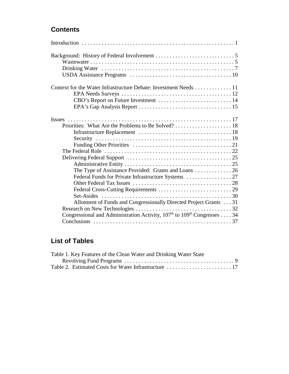## **Contents**

| Context for the Water Infrastructure Debate: Investment Needs 11            |  |
|-----------------------------------------------------------------------------|--|
|                                                                             |  |
|                                                                             |  |
|                                                                             |  |
|                                                                             |  |
|                                                                             |  |
|                                                                             |  |
|                                                                             |  |
|                                                                             |  |
|                                                                             |  |
|                                                                             |  |
|                                                                             |  |
|                                                                             |  |
|                                                                             |  |
|                                                                             |  |
|                                                                             |  |
|                                                                             |  |
| Allotment of Funds and Congressionally Directed Project Grants 31           |  |
|                                                                             |  |
| Congressional and Administration Activity, $107th$ to $109th$ Congresses 34 |  |
|                                                                             |  |

# **List of Tables**

| Table 1. Key Features of the Clean Water and Drinking Water State |  |
|-------------------------------------------------------------------|--|
|                                                                   |  |
|                                                                   |  |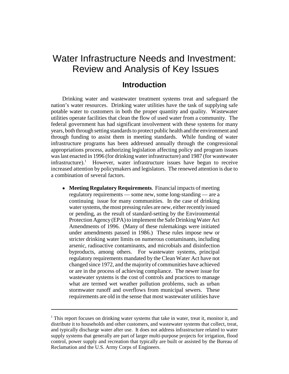# Water Infrastructure Needs and Investment: Review and Analysis of Key Issues

## **Introduction**

Drinking water and wastewater treatment systems treat and safeguard the nation's water resources. Drinking water utilities have the task of supplying safe potable water to customers in both the proper quantity and quality. Wastewater utilities operate facilities that clean the flow of used water from a community. The federal government has had significant involvement with these systems for many years, both through setting standards to protect public health and the environment and through funding to assist them in meeting standards. While funding of water infrastructure programs has been addressed annually through the congressional appropriations process, authorizing legislation affecting policy and program issues was last enacted in 1996 (for drinking water infrastructure) and 1987 (for wastewater infrastructure).<sup>1</sup> However, water infrastructure issues have begun to receive increased attention by policymakers and legislators. The renewed attention is due to a combination of several factors.

! **Meeting Regulatory Requirements**. Financial impacts of meeting regulatory requirements — some new, some long-standing — are a continuing issue for many communities. In the case of drinking water systems, the most pressing rules are new, either recently issued or pending, as the result of standard-setting by the Environmental Protection Agency (EPA) to implement the Safe Drinking Water Act Amendments of 1996. (Many of these rulemakings were initiated under amendments passed in 1986.) These rules impose new or stricter drinking water limits on numerous contaminants, including arsenic, radioactive contaminants, and microbials and disinfection byproducts, among others. For wastewater systems, principal regulatory requirements mandated by the Clean Water Act have not changed since 1972, and the majority of communities have achieved or are in the process of achieving compliance. The newer issue for wastewater systems is the cost of controls and practices to manage what are termed wet weather pollution problems, such as urban stormwater runoff and overflows from municipal sewers. These requirements are old in the sense that most wastewater utilities have

<sup>&</sup>lt;sup>1</sup> This report focuses on drinking water systems that take in water, treat it, monitor it, and distribute it to households and other customers, and wastewater systems that collect, treat, and typically discharge water after use. It does not address infrastructure related to water supply systems that generally are part of larger multi-purpose projects for irrigation, flood control, power supply and recreation that typically are built or assisted by the Bureau of Reclamation and the U.S. Army Corps of Engineers.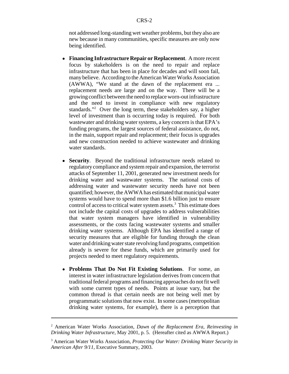not addressed long-standing wet weather problems, but they also are new because in many communities, specific measures are only now being identified.

- ! **Financing Infrastructure Repair or Replacement**. A more recent focus by stakeholders is on the need to repair and replace infrastructure that has been in place for decades and will soon fail, many believe. According to the American Water Works Association (AWWA), "We stand at the dawn of the replacement era ... replacement needs are large and on the way. There will be a growing conflict between the need to replace worn-out infrastructure and the need to invest in compliance with new regulatory standards."<sup>2</sup> Over the long term, these stakeholders say, a higher level of investment than is occurring today is required. For both wastewater and drinking water systems, a key concern is that EPA's funding programs, the largest sources of federal assistance, do not, in the main, support repair and replacement; their focus is upgrades and new construction needed to achieve wastewater and drinking water standards.
- ! **Security**. Beyond the traditional infrastructure needs related to regulatory compliance and system repair and expansion, the terrorist attacks of September 11, 2001, generated new investment needs for drinking water and wastewater systems. The national costs of addressing water and wastewater security needs have not been quantified; however, the AWWA has estimated that municipal water systems would have to spend more than \$1.6 billion just to ensure control of access to critical water system assets.<sup>3</sup> This estimate does not include the capital costs of upgrades to address vulnerabilities that water system managers have identified in vulnerability assessments, or the costs facing wastewater systems and smaller drinking water systems. Although EPA has identified a range of security measures that are eligible for funding through the clean water and drinking water state revolving fund programs, competition already is severe for these funds, which are primarily used for projects needed to meet regulatory requirements.
- ! **Problems That Do Not Fit Existing Solutions**. For some, an interest in water infrastructure legislation derives from concern that traditional federal programs and financing approaches do not fit well with some current types of needs. Points at issue vary, but the common thread is that certain needs are not being well met by programmatic solutions that now exist. In some cases (metropolitan drinking water systems, for example), there is a perception that

<sup>2</sup> American Water Works Association, *Dawn of the Replacement Era, Reinvesting in Drinking Water Infrastructure*, May 2001, p. 5. (Hereafter cited as AWWA Report.)

<sup>3</sup> American Water Works Association, *Protecting Our Water: Drinking Water Security in American After 9/11*, Executive Summary, 2003.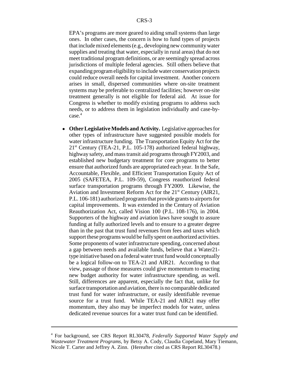EPA's programs are more geared to aiding small systems than large ones. In other cases, the concern is how to fund types of projects that include mixed elements (e.g., developing new community water supplies and treating that water, especially in rural areas) that do not meet traditional program definitions, or are seemingly spread across jurisdictions of multiple federal agencies. Still others believe that expanding program eligibility to include water conservation projects could reduce overall needs for capital investment. Another concern arises in small, dispersed communities where on-site treatment systems may be preferable to centralized facilities; however on-site treatment generally is not eligible for federal aid. At issue for Congress is whether to modify existing programs to address such needs, or to address them in legislation individually and case-bycase.<sup>4</sup>

! **Other Legislative Models and Activity.** Legislative approaches for other types of infrastructure have suggested possible models for water infrastructure funding. The Transportation Equity Act for the  $21<sup>st</sup>$  Century (TEA-21, P.L. 105-178) authorized federal highway, highway safety, and mass transit aid programs through FY2003, and established new budgetary treatment for core programs to better ensure that authorized funds are appropriated each year. In the Safe, Accountable, Flexible, and Efficient Transportation Equity Act of 2005 (SAFETEA, P.L. 109-59), Congress reauthorized federal surface transportation programs through FY2009. Likewise, the Aviation and Investment Reform Act for the 21<sup>st</sup> Century (AIR21, P.L. 106-181) authorized programs that provide grants to airports for capital improvements. It was extended in the Century of Aviation Reauthorization Act, called Vision 100 (P.L. 108-176), in 2004. Supporters of the highway and aviation laws have sought to assure funding at fully authorized levels and to ensure to a greater degree than in the past that trust fund revenues from fees and taxes which support these programs would be fully spent on authorized activities. Some proponents of water infrastructure spending, concerned about a gap between needs and available funds, believe that a Water21 type initiative based on a federal water trust fund would conceptually be a logical follow-on to TEA-21 and AIR21. According to that view, passage of those measures could give momentum to enacting new budget authority for water infrastructure spending, as well. Still, differences are apparent, especially the fact that, unlike for surface transportation and aviation, there is no comparable dedicated trust fund for water infrastructure, or easily identifiable revenue source for a trust fund. While TEA-21 and AIR21 may offer momentum, they also may be imperfect models for water, unless dedicated revenue sources for a water trust fund can be identified.

<sup>4</sup> For background, see CRS Report RL30478, *Federally Supported Water Supply and Wastewater Treatment Programs*, by Betsy A. Cody, Claudia Copeland, Mary Tiemann, Nicole T. Carter and Jeffrey A. Zinn. (Hereafter cited as CRS Report RL30478.)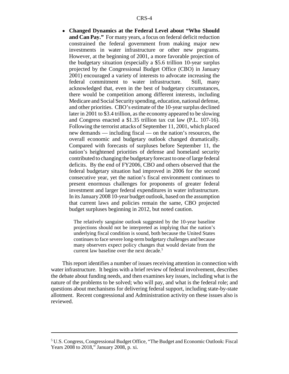! **Changed Dynamics at the Federal Level about "Who Should and Can Pay."** For many years, a focus on federal deficit reduction constrained the federal government from making major new investments in water infrastructure or other new programs. However, at the beginning of 2001, a more favorable projection of the budgetary situation (especially a \$5.6 trillion 10-year surplus projected by the Congressional Budget Office (CBO) in January 2001) encouraged a variety of interests to advocate increasing the federal commitment to water infrastructure. Still, many acknowledged that, even in the best of budgetary circumstances, there would be competition among different interests, including Medicare and Social Security spending, education, national defense, and other priorities. CBO's estimate of the 10-year surplus declined later in 2001 to \$3.4 trillion, as the economy appeared to be slowing and Congress enacted a \$1.35 trillion tax cut law (P.L. 107-16). Following the terrorist attacks of September 11, 2001, which placed new demands — including fiscal — on the nation's resources, the overall economic and budgetary outlook changed dramatically. Compared with forecasts of surpluses before September 11, the nation's heightened priorities of defense and homeland security contributed to changing the budgetary forecast to one of large federal deficits. By the end of FY2006, CBO and others observed that the federal budgetary situation had improved in 2006 for the second consecutive year, yet the nation's fiscal environment continues to present enormous challenges for proponents of greater federal investment and larger federal expenditures in water infrastructure. In its January 2008 10-year budget outlook, based on the assumption that current laws and policies remain the same, CBO projected budget surpluses beginning in 2012, but noted caution.

The relatively sanguine outlook suggested by the 10-year baseline projections should not be interpreted as implying that the nation's underlying fiscal condition is sound, both because the United States continues to face severe long-term budgetary challenges and because many observers expect policy changes that would deviate from the current law baseline over the next decade.<sup>5</sup>

This report identifies a number of issues receiving attention in connection with water infrastructure. It begins with a brief review of federal involvement, describes the debate about funding needs, and then examines key issues, including what is the nature of the problems to be solved; who will pay, and what is the federal role; and questions about mechanisms for delivering federal support, including state-by-state allotment. Recent congressional and Administration activity on these issues also is reviewed.

<sup>&</sup>lt;sup>5</sup> U.S. Congress, Congressional Budget Office, "The Budget and Economic Outlook: Fiscal Years 2008 to 2018," January 2008, p. xi.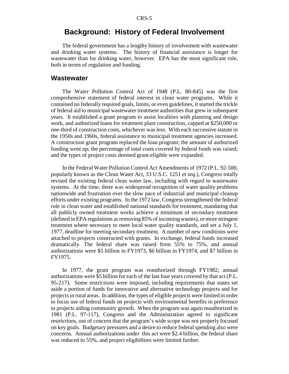## **Background: History of Federal Involvement**

The federal government has a lengthy history of involvement with wastewater and drinking water systems. The history of financial assistance is longer for wastewater than for drinking water, however. EPA has the most significant role, both in terms of regulation and funding.

### **Wastewater**

The Water Pollution Control Act of 1948 (P.L. 80-845) was the first comprehensive statement of federal interest in clean water programs. While it contained no federally required goals, limits, or even guidelines, it started the trickle of federal aid to municipal wastewater treatment authorities that grew in subsequent years. It established a grant program to assist localities with planning and design work, and authorized loans for treatment plant construction, capped at \$250,000 or one-third of construction costs, whichever was less. With each successive statute in the 1950s and 1960s, federal assistance to municipal treatment agencies increased. A construction grant program replaced the loan program; the amount of authorized funding went up; the percentage of total costs covered by federal funds was raised; and the types of project costs deemed grant-eligible were expanded.

In the Federal Water Pollution Control Act Amendments of 1972 (P.L. 92-500, popularly known as the Clean Water Act, 33 U.S.C. 1251 *et seq*.), Congress totally revised the existing federal clean water law, including with regard to wastewater systems. At the time, there was widespread recognition of water quality problems nationwide and frustration over the slow pace of industrial and municipal cleanup efforts under existing programs. In the 1972 law, Congress strengthened the federal role in clean water and established national standards for treatment, mandating that all publicly owned treatment works achieve a minimum of secondary treatment (defined in EPA regulations as removing 85% of incoming wastes), or more stringent treatment where necessary to meet local water quality standards, and set a July 1, 1977, deadline for meeting secondary treatment. A number of new conditions were attached to projects constructed with grants. In exchange, federal funds increased dramatically. The federal share was raised from 55% to 75%, and annual authorizations were \$5 billion in FY1973, \$6 billion in FY1974, and \$7 billion in FY1975.

In 1977, the grant program was reauthorized through FY1982; annual authorizations were \$5 billion for each of the last four years covered by that act (P.L. 95-217). Some restrictions were imposed, including requirements that states set aside a portion of funds for innovative and alternative technology projects and for projects in rural areas. In addition, the types of eligible projects were limited in order to focus use of federal funds on projects with environmental benefits in preference to projects aiding community growth. When the program was again reauthorized in 1981 (P.L. 97-117), Congress and the Administration agreed to significant restrictions, out of concern that the program's wide scope was not properly focused on key goals. Budgetary pressures and a desire to reduce federal spending also were concerns. Annual authorizations under this act were \$2.4 billion, the federal share was reduced to 55%, and project eligibilities were limited further.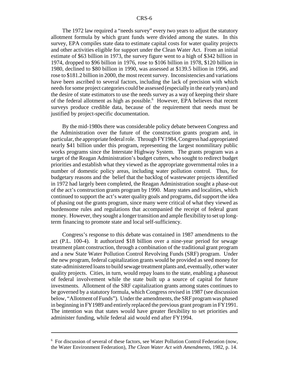The 1972 law required a "needs survey" every two years to adjust the statutory allotment formula by which grant funds were divided among the states. In this survey, EPA compiles state data to estimate capital costs for water quality projects and other activities eligible for support under the Clean Water Act. From an initial estimate of \$63 billion in 1973, the survey figure went to a high of \$342 billion in 1974, dropped to \$96 billion in 1976, rose to \$106 billion in 1978, \$120 billion in 1980, declined to \$80 billion in 1990, was assessed at \$139.5 billion in 1996, and rose to \$181.2 billion in 2000, the most recent survey. Inconsistencies and variations have been ascribed to several factors, including the lack of precision with which needs for some project categories could be assessed (especially in the early years) and the desire of state estimators to use the needs survey as a way of keeping their share of the federal allotment as high as possible.<sup>6</sup> However, EPA believes that recent surveys produce credible data, because of the requirement that needs must be justified by project-specific documentation.

By the mid-1980s there was considerable policy debate between Congress and the Administration over the future of the construction grants program and, in particular, the appropriate federal role. Through FY1984, Congress had appropriated nearly \$41 billion under this program, representing the largest nonmilitary public works programs since the Interstate Highway System. The grants program was a target of the Reagan Administration's budget cutters, who sought to redirect budget priorities and establish what they viewed as the appropriate governmental roles in a number of domestic policy areas, including water pollution control. Thus, for budgetary reasons and the belief that the backlog of wastewater projects identified in 1972 had largely been completed, the Reagan Administration sought a phase-out of the act's construction grants program by 1990. Many states and localities, which continued to support the act's water quality goals and programs, did support the idea of phasing out the grants program, since many were critical of what they viewed as burdensome rules and regulations that accompanied the receipt of federal grant money. However, they sought a longer transition and ample flexibility to set up longterm financing to promote state and local self-sufficiency.

Congress's response to this debate was contained in 1987 amendments to the act (P.L. 100-4). It authorized \$18 billion over a nine-year period for sewage treatment plant construction, through a combination of the traditional grant program and a new State Water Pollution Control Revolving Funds (SRF) program. Under the new program, federal capitalization grants would be provided as seed money for state-administered loans to build sewage treatment plants and, eventually, other water quality projects. Cities, in turn, would repay loans to the state, enabling a phaseout of federal involvement while the state built up a source of capital for future investments. Allotment of the SRF capitalization grants among states continues to be governed by a statutory formula, which Congress revised in 1987 (see discussion below, "Allotment of Funds"). Under the amendments, the SRF program was phased in beginning in FY1989 and entirely replaced the previous grant program in FY1991. The intention was that states would have greater flexibility to set priorities and administer funding, while federal aid would end after FY1994.

<sup>&</sup>lt;sup>6</sup> For discussion of several of these factors, see Water Pollution Control Federation (now, the Water Environment Federation), *The Clean Water Act with Amendments,* 1982, p. 14.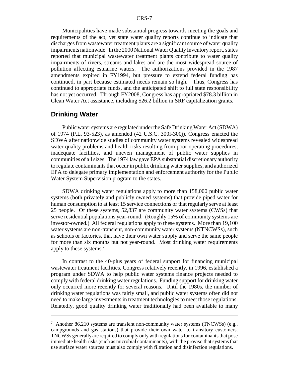Municipalities have made substantial progress towards meeting the goals and requirements of the act, yet state water quality reports continue to indicate that discharges from wastewater treatment plants are a significant source of water quality impairments nationwide. In the 2000 National Water Quality Inventory report, states reported that municipal wastewater treatment plants contribute to water quality impairments of rivers, streams and lakes and are the most widespread source of pollution affecting estuarine waters. The authorizations provided in the 1987 amendments expired in FY1994, but pressure to extend federal funding has continued, in part because estimated needs remain so high. Thus, Congress has continued to appropriate funds, and the anticipated shift to full state responsibility has not yet occurred. Through FY2008, Congress has appropriated \$78.3 billion in Clean Water Act assistance, including \$26.2 billion in SRF capitalization grants.

## **Drinking Water**

Public water systems are regulated under the Safe Drinking Water Act (SDWA) of 1974 (P.L. 93-523), as amended (42 U.S.C. 300f-300j). Congress enacted the SDWA after nationwide studies of community water systems revealed widespread water quality problems and health risks resulting from poor operating procedures, inadequate facilities, and uneven management of public water supplies in communities of all sizes. The 1974 law gave EPA substantial discretionary authority to regulate contaminants that occur in public drinking water supplies, and authorized EPA to delegate primary implementation and enforcement authority for the Public Water System Supervision program to the states.

SDWA drinking water regulations apply to more than 158,000 public water systems (both privately and publicly owned systems) that provide piped water for human consumption to at least 15 service connections or that regularly serve at least 25 people. Of these systems, 52,837 are community water systems (CWSs) that serve residential populations year-round. (Roughly 15% of community systems are investor-owned.) All federal regulations apply to these systems. More than 19,100 water systems are non-transient, non-community water systems (NTNCWSs), such as schools or factories, that have their own water supply and serve the same people for more than six months but not year-round. Most drinking water requirements apply to these systems.<sup>7</sup>

In contrast to the 40-plus years of federal support for financing municipal wastewater treatment facilities, Congress relatively recently, in 1996, established a program under SDWA to help public water systems finance projects needed to comply with federal drinking water regulations. Funding support for drinking water only occurred more recently for several reasons. Until the 1980s, the number of drinking water regulations was fairly small, and public water systems often did not need to make large investments in treatment technologies to meet those regulations. Relatedly, good quality drinking water traditionally had been available to many

 $7$  Another 86,210 systems are transient non-community water systems (TNCWSs) (e.g., campgrounds and gas stations) that provide their own water to transitory customers. TNCWSs generally are required to comply only with regulations for contaminants that pose immediate health risks (such as microbial contaminants), with the proviso that systems that use surface water sources must also comply with filtration and disinfection regulations.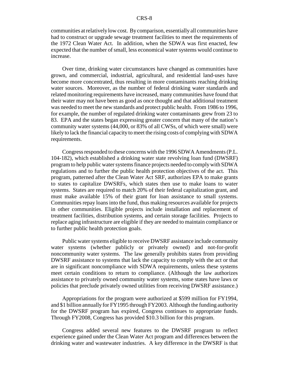communities at relatively low cost. By comparison, essentially all communities have had to construct or upgrade sewage treatment facilities to meet the requirements of the 1972 Clean Water Act. In addition, when the SDWA was first enacted, few expected that the number of small, less economical water systems would continue to increase.

Over time, drinking water circumstances have changed as communities have grown, and commercial, industrial, agricultural, and residential land-uses have become more concentrated, thus resulting in more contaminants reaching drinking water sources. Moreover, as the number of federal drinking water standards and related monitoring requirements have increased, many communities have found that their water may not have been as good as once thought and that additional treatment was needed to meet the new standards and protect public health. From 1986 to 1996, for example, the number of regulated drinking water contaminants grew from 23 to 83. EPA and the states began expressing greater concern that many of the nation's community water systems (44,000, or 83% of all CWSs, of which were small) were likely to lack the financial capacity to meet the rising costs of complying with SDWA requirements.

Congress responded to these concerns with the 1996 SDWA Amendments (P.L. 104-182), which established a drinking water state revolving loan fund (DWSRF) program to help public water systems finance projects needed to comply with SDWA regulations and to further the public health protection objectives of the act. This program, patterned after the Clean Water Act SRF, authorizes EPA to make grants to states to capitalize DWSRFs, which states then use to make loans to water systems. States are required to match 20% of their federal capitalization grant, and must make available 15% of their grant for loan assistance to small systems. Communities repay loans into the fund, thus making resources available for projects in other communities. Eligible projects include installation and replacement of treatment facilities, distribution systems, and certain storage facilities. Projects to replace aging infrastructure are eligible if they are needed to maintain compliance or to further public health protection goals.

Public water systems eligible to receive DWSRF assistance include community water systems (whether publicly or privately owned) and not-for-profit noncommunity water systems. The law generally prohibits states from providing DWSRF assistance to systems that lack the capacity to comply with the act or that are in significant noncompliance with SDWA requirements, unless these systems meet certain conditions to return to compliance. (Although the law authorizes assistance to privately owned community water systems, some states have laws or policies that preclude privately owned utilities from receiving DWSRF assistance.)

Appropriations for the program were authorized at \$599 million for FY1994, and \$1 billion annually for FY1995 through FY2003. Although the funding authority for the DWSRF program has expired, Congress continues to appropriate funds. Through FY2008, Congress has provided \$10.3 billion for this program.

Congress added several new features to the DWSRF program to reflect experience gained under the Clean Water Act program and differences between the drinking water and wastewater industries. A key difference in the DWSRF is that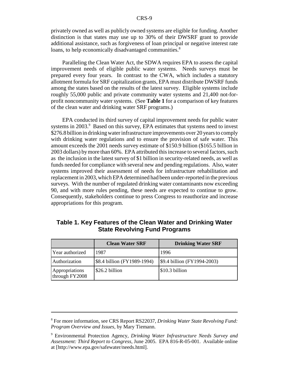privately owned as well as publicly owned systems are eligible for funding. Another distinction is that states may use up to 30% of their DWSRF grant to provide additional assistance, such as forgiveness of loan principal or negative interest rate loans, to help economically disadvantaged communities.<sup>8</sup>

Paralleling the Clean Water Act, the SDWA requires EPA to assess the capital improvement needs of eligible public water systems. Needs surveys must be prepared every four years. In contrast to the CWA, which includes a statutory allotment formula for SRF capitalization grants, EPA must distribute DWSRF funds among the states based on the results of the latest survey. Eligible systems include roughly 55,000 public and private community water systems and 21,400 not-forprofit noncommunity water systems. (See **Table 1** for a comparison of key features of the clean water and drinking water SRF programs.)

EPA conducted its third survey of capital improvement needs for public water systems in 2003.<sup>9</sup> Based on this survey, EPA estimates that systems need to invest \$276.8 billion in drinking water infrastructure improvements over 20 years to comply with drinking water regulations and to ensure the provision of safe water. This amount exceeds the 2001 needs survey estimate of \$150.9 billion (\$165.5 billion in 2003 dollars) by more than 60%. EPA attributed this increase to several factors, such as the inclusion in the latest survey of \$1 billion in security-related needs, as well as funds needed for compliance with several new and pending regulations. Also, water systems improved their assessment of needs for infrastructure rehabilitation and replacement in 2003, which EPA determined had been under-reported in the previous surveys. With the number of regulated drinking water contaminants now exceeding 90, and with more rules pending, these needs are expected to continue to grow. Consequently, stakeholders continue to press Congress to reauthorize and increase appropriations for this program.

|                                  | <b>Clean Water SRF</b>      | <b>Drinking Water SRF</b>   |  |  |
|----------------------------------|-----------------------------|-----------------------------|--|--|
| Year authorized                  | 1987                        | 1996                        |  |  |
| Authorization                    | \$8.4 billion (FY1989-1994) | \$9.4 billion (FY1994-2003) |  |  |
| Appropriations<br>through FY2008 | \$26.2 billion              | \$10.3 billion              |  |  |

## **Table 1. Key Features of the Clean Water and Drinking Water State Revolving Fund Programs**

<sup>8</sup> For more information, see CRS Report RS22037, *Drinking Water State Revolving Fund: Program Overview and Issues*, by Mary Tiemann.

<sup>9</sup> Environmental Protection Agency, *Drinking Water Infrastructure Needs Survey and Assessment: Third Report to Congress*, June 2005. EPA 816-R-05-001. Available online at [http://www.epa.gov/safewater/needs.html].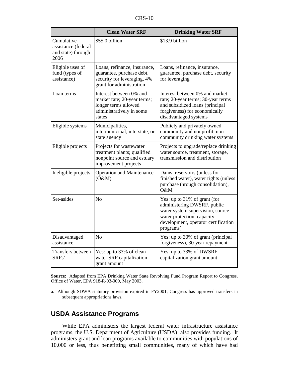| $CRS-10$ |  |
|----------|--|
|----------|--|

|                                                                 | <b>Clean Water SRF</b>                                                                                                                                                 | <b>Drinking Water SRF</b>                                                                                                                                                         |  |  |
|-----------------------------------------------------------------|------------------------------------------------------------------------------------------------------------------------------------------------------------------------|-----------------------------------------------------------------------------------------------------------------------------------------------------------------------------------|--|--|
| Cumulative<br>assistance (federal<br>and state) through<br>2006 | \$55.0 billion                                                                                                                                                         | \$13.9 billion                                                                                                                                                                    |  |  |
| Eligible uses of<br>fund (types of<br>assistance)               | Loans, refinance, insurance,<br>guarantee, purchase debt,<br>security for leveraging, 4%<br>grant for administration                                                   | Loans, refinance, insurance,<br>guarantee, purchase debt, security<br>for leveraging                                                                                              |  |  |
| Loan terms                                                      | Interest between 0% and<br>market rate; 20-year terms;<br>longer terms allowed<br>administratively in some<br>states                                                   | Interest between 0% and market<br>rate; 20-year terms; 30-year terms<br>and subsidized loans (principal<br>forgiveness) for economically<br>disadvantaged systems                 |  |  |
| Eligible systems                                                | Municipalities,<br>Publicly and privately owned<br>intermunicipal, interstate, or<br>community and nonprofit, non-<br>community drinking water systems<br>state agency |                                                                                                                                                                                   |  |  |
| Eligible projects                                               | Projects for wastewater<br>treatment plants; qualified<br>nonpoint source and estuary<br>improvement projects                                                          | Projects to upgrade/replace drinking<br>water source, treatment, storage,<br>transmission and distribution                                                                        |  |  |
| Ineligible projects                                             | <b>Operation and Maintenance</b><br>(O&M)                                                                                                                              | Dams, reservoirs (unless for<br>finished water), water rights (unless<br>purchase through consolidation),<br>O&M                                                                  |  |  |
| Set-asides                                                      | N <sub>o</sub>                                                                                                                                                         | Yes: up to 31% of grant (for<br>administering DWSRF, public<br>water system supervision, source<br>water protection, capacity<br>development, operator certification<br>programs) |  |  |
| Disadvantaged<br>assistance                                     | N <sub>o</sub>                                                                                                                                                         | Yes: up to 30% of grant (principal<br>forgiveness), 30-year repayment                                                                                                             |  |  |
| Transfers between<br>SRFs <sup>a</sup>                          | Yes: up to 33% of clean<br>water SRF capitalization<br>grant amount                                                                                                    | Yes: up to 33% of DWSRF<br>capitalization grant amount                                                                                                                            |  |  |

**Source:** Adapted from EPA Drinking Water State Revolving Fund Program Report to Congress, Office of Water, EPA 918-R-03-009, May 2003.

a. Although SDWA statutory provision expired in FY2001, Congress has approved transfers in subsequent appropriations laws.

## **USDA Assistance Programs**

While EPA administers the largest federal water infrastructure assistance programs, the U.S. Department of Agriculture (USDA) also provides funding. It administers grant and loan programs available to communities with populations of 10,000 or less, thus benefitting small communities, many of which have had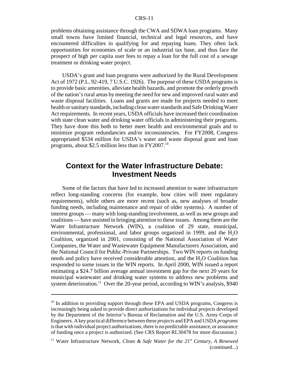problems obtaining assistance through the CWA and SDWA loan programs. Many small towns have limited financial, technical and legal resources, and have encountered difficulties in qualifying for and repaying loans. They often lack opportunities for economies of scale or an industrial tax base, and thus face the prospect of high per capita user fees to repay a loan for the full cost of a sewage treatment or drinking water project.

USDA's grant and loan programs were authorized by the Rural Development Act of 1972 (P.L. 92-419, 7 U.S.C. 1926). The purpose of these USDA programs is to provide basic amenities, alleviate health hazards, and promote the orderly growth of the nation's rural areas by meeting the need for new and improved rural water and waste disposal facilities. Loans and grants are made for projects needed to meet health or sanitary standards, including clean water standards and Safe Drinking Water Act requirements. In recent years, USDA officials have increased their coordination with state clean water and drinking water officials in administering their programs. They have done this both to better meet health and environmental goals and to minimize program redundancies and/or inconsistencies. For FY2008, Congress appropriated \$534 million for USDA's water and waste disposal grant and loan programs, about \$2.5 million less than in FY2007.10

## **Context for the Water Infrastructure Debate: Investment Needs**

Some of the factors that have led to increased attention to water infrastructure reflect long-standing concerns (for example, how cities will meet regulatory requirements), while others are more recent (such as, new analyses of broader funding needs, including maintenance and repair of older systems). A number of interest groups — many with long-standing involvement, as well as new groups and coalitions — have assisted in bringing attention to these issues. Among them are the Water Infrastructure Network (WIN), a coalition of 29 state, municipal, environmental, professional, and labor groups organized in 1999, and the H<sub>2</sub>O Coalition, organized in 2001, consisting of the National Association of Water Companies, the Water and Wastewater Equipment Manufacturers Association, and the National Council for Public-Private Partnerships. Two WIN reports on funding needs and policy have received considerable attention, and the H<sub>2</sub>O Coalition has responded to some issues in the WIN reports. In April 2000, WIN issued a report estimating a \$24.7 billion average annual investment gap for the next 20 years for municipal wastewater and drinking water systems to address new problems and system deterioration.<sup>11</sup> Over the 20-year period, according to WIN's analysis, \$940

<sup>&</sup>lt;sup>10</sup> In addition to providing support through these EPA and USDA programs, Congress is increasingly being asked to provide direct authorizations for individual projects developed by the Department of the Interior's Bureau of Reclamation and the U.S. Army Corps of Engineers. A key practical difference between these *projects* and EPA and USDA *programs* is that with individual project authorizations, there is no predictable assistance, or assurance of funding once a project is authorized. (See CRS Report RL30478 for more discussion.)

<sup>11</sup> Water Infrastructure Network, *Clean & Safe Water for the 21st Century, A Renewed* (continued...)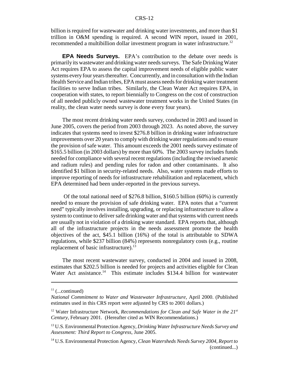billion is required for wastewater and drinking water investments, and more than \$1 trillion in O&M spending is required. A second WIN report, issued in 2001, recommended a multibillion dollar investment program in water infrastructure.<sup>12</sup>

**EPA Needs Surveys.** EPA's contribution to the debate over needs is primarily its wastewater and drinking water needs surveys. The Safe Drinking Water Act requires EPA to assess the capital improvement needs of eligible public water systems every four years thereafter. Concurrently, and in consultation with the Indian Health Service and Indian tribes, EPA must assess needs for drinking water treatment facilities to serve Indian tribes. Similarly, the Clean Water Act requires EPA, in cooperation with states, to report biennially to Congress on the cost of construction of all needed publicly owned wastewater treatment works in the United States (in reality, the clean water needs survey is done every four years).

The most recent drinking water needs survey, conducted in 2003 and issued in June 2005, covers the period from 2003 through 2023. As noted above, the survey indicates that systems need to invest \$276.8 billion in drinking water infrastructure improvements over 20 years to comply with drinking water regulations and to ensure the provision of safe water. This amount exceeds the 2001 needs survey estimate of \$165.5 billion (in 2003 dollars) by more than 60%. The 2003 survey includes funds needed for compliance with several recent regulations (including the revised arsenic and radium rules) and pending rules for radon and other contaminants. It also identified \$1 billion in security-related needs. Also, water systems made efforts to improve reporting of needs for infrastructure rehabilitation and replacement, which EPA determined had been under-reported in the previous surveys.

 Of the total national need of \$276.8 billion, \$160.5 billion (60%) is currently needed to ensure the provision of safe drinking water. EPA notes that a "current need" typically involves installing, upgrading, or replacing infrastructure to allow a system to continue to deliver safe drinking water and that systems with current needs are usually not in violation of a drinking water standard. EPA reports that, although all of the infrastructure projects in the needs assessment promote the health objectives of the act, \$45.1 billion (16%) of the total is attributable to SDWA regulations, while \$237 billion (84%) represents nonregulatory costs (e.g., routine replacement of basic infrastructure).<sup>13</sup>

The most recent wastewater survey, conducted in 2004 and issued in 2008, estimates that \$202.5 billion is needed for projects and activities eligible for Clean Water Act assistance.<sup>14</sup> This estimate includes \$134.4 billion for wastewater

 $11$  (...continued)

*National Commitment to Water and Wastewater Infrastructure,* April 2000. (Published estimates used in this CRS report were adjusted by CRS to 2001 dollars.)

<sup>&</sup>lt;sup>12</sup> Water Infrastructure Network, *Recommendations for Clean and Safe Water in the 21<sup>st</sup> Century,* February 2001. (Hereafter cited as WIN Recommendations.)

<sup>13</sup> U.S. Environmental Protection Agency, *Drinking Water Infrastructure Needs Survey and Assessment: Third Report to Congress*, June 2005.

<sup>14</sup> U.S. Environmental Protection Agency, *Clean Watersheds Needs Survey 2004, Report to* (continued...)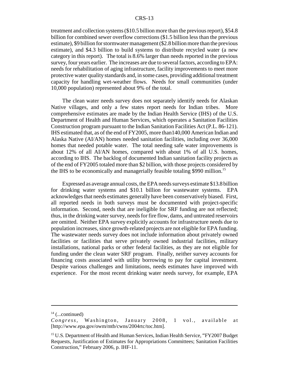treatment and collection systems (\$10.5 billion more than the previous report), \$54.8 billion for combined sewer overflow corrections (\$1.5 billion less than the previous estimate), \$9 billion for stormwater management (\$2.8 billion more than the previous estimate), and \$4.3 billion to build systems to distribute recycled water (a new category in this report). The total is 8.6% larger than needs reported in the previous survey, four years earlier. The increases are due to several factors, according to EPA: needs for rehabilitation of aging infrastructure, facility improvements to meet more protective water quality standards and, in some cases, providing additional treatment capacity for handling wet-weather flows. Needs for small communities (under 10,000 population) represented about 9% of the total.

The clean water needs survey does not separately identify needs for Alaskan Native villages, and only a few states report needs for Indian tribes. More comprehensive estimates are made by the Indian Health Service (IHS) of the U.S. Department of Health and Human Services, which operates a Sanitation Facilities Construction program pursuant to the Indian Sanitation Facilities Act (P.L. 86-121). IHS estimated that, as of the end of FY2005, more than140,000 American Indian and Alaska Native (AI/AN) homes needed sanitation facilities, including over 36,000 homes that needed potable water. The total needing safe water improvements is about 12% of all AI/AN homes, compared with about 1% of all U.S. homes, according to IHS. The backlog of documented Indian sanitation facility projects as of the end of FY2005 totaled more than \$2 billion, with those projects considered by the IHS to be economically and managerially feasible totaling \$990 million.<sup>15</sup>

Expressed as average annual costs, the EPA needs surveys estimate \$13.8 billion for drinking water systems and \$10.1 billion for wastewater systems. EPA acknowledges that needs estimates generally have been conservatively biased. First, all reported needs in both surveys must be documented with project-specific information. Second, needs that are ineligible for SRF funding are not reflected; thus, in the drinking water survey, needs for fire flow, dams, and untreated reservoirs are omitted. Neither EPA survey explicitly accounts for infrastructure needs due to population increases, since growth-related projects are not eligible for EPA funding. The wastewater needs survey does not include information about privately owned facilities or facilities that serve privately owned industrial facilities, military installations, national parks or other federal facilities, as they are not eligible for funding under the clean water SRF program. Finally, neither survey accounts for financing costs associated with utility borrowing to pay for capital investment. Despite various challenges and limitations, needs estimates have improved with experience. For the most recent drinking water needs survey, for example, EPA

 $14$  (...continued)

*Congress,* Washington, January 2008, 1 vol., available at [http://www.epa.gov/owm/mtb/cwns/2004rtc/toc.htm].

<sup>&</sup>lt;sup>15</sup> U.S. Department of Health and Human Services, Indian Health Service, "FY2007 Budget" Requests, Justification of Estimates for Appropriations Committees; Sanitation Facilities Construction," February 2006, p. IHF-11.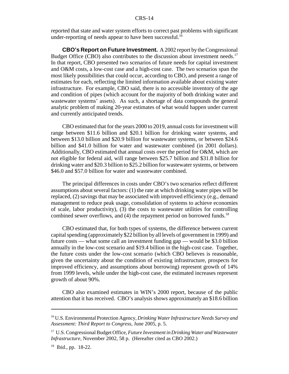reported that state and water system efforts to correct past problems with significant under-reporting of needs appear to have been successful.<sup>16</sup>

**CBO's Report on Future Investment.** A 2002 report by the Congressional Budget Office (CBO) also contributes to the discussion about investment needs.<sup>17</sup> In that report, CBO presented two scenarios of future needs for capital investment and O&M costs, a low-cost case and a high-cost case. The two scenarios span the most likely possibilities that could occur, according to CBO, and present a range of estimates for each, reflecting the limited information available about existing water infrastructure. For example, CBO said, there is no accessible inventory of the age and condition of pipes (which account for the majority of both drinking water and wastewater systems' assets). As such, a shortage of data compounds the general analytic problem of making 20-year estimates of what would happen under current and currently anticipated trends.

CBO estimated that for the years 2000 to 2019, annual costs for investment will range between \$11.6 billion and \$20.1 billion for drinking water systems, and between \$13.0 billion and \$20.9 billion for wastewater systems, or between \$24.6 billion and \$41.0 billion for water and wastewater combined (in 2001 dollars). Additionally, CBO estimated that annual costs over the period for O&M, which are not eligible for federal aid, will range between \$25.7 billion and \$31.8 billion for drinking water and \$20.3 billion to \$25.2 billion for wastewater systems, or between \$46.0 and \$57.0 billion for water and wastewater combined.

The principal differences in costs under CBO's two scenarios reflect different assumptions about several factors: (1) the rate at which drinking water pipes will be replaced,  $(2)$  savings that may be associated with improved efficiency  $(e.g.,$  demand management to reduce peak usage, consolidation of systems to achieve economies of scale, labor productivity), (3) the costs to wastewater utilities for controlling combined sewer overflows, and  $(4)$  the repayment period on borrowed funds.<sup>18</sup>

CBO estimated that, for both types of systems, the difference between current capital spending (approximately \$22 billion by all levels of government in 1999) and future costs — what some call an investment funding gap — would be \$3.0 billion annually in the low-cost scenario and \$19.4 billion in the high-cost case. Together, the future costs under the low-cost scenario (which CBO believes is reasonable, given the uncertainty about the condition of existing infrastructure, prospects for improved efficiency, and assumptions about borrowing) represent growth of 14% from 1999 levels, while under the high-cost case, the estimated increases represent growth of about 90%.

CBO also examined estimates in WIN's 2000 report, because of the public attention that it has received. CBO's analysis shows approximately an \$18.6 billion

<sup>16</sup> U.S. Environmental Protection Agency, *Drinking Water Infrastructure Needs Survey and Assessment: Third Report to Congress*, June 2005, p. 5.

<sup>17</sup> U.S. Congressional Budget Office, *Future Investment in Drinking Water and Wastewater Infrastructure,* November 2002, 58 p. (Hereafter cited as CBO 2002.)

<sup>18</sup> Ibid., pp. 18-22.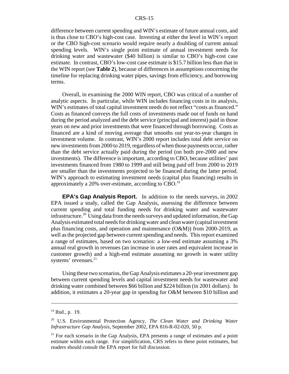difference between current spending and WIN's estimate of future annual costs, and is thus close to CBO's high-cost case. Investing at either the level in WIN's report or the CBO high-cost scenario would require nearly a doubling of current annual spending levels. WIN's single point estimate of annual investment needs for drinking water and wastewater (\$40 billion) is similar to CBO's high-cost case estimate. In contrast, CBO's low-cost case estimate is \$15.7 billion less than that in the WIN report (see **Table 2**), because of differences in assumptions concerning the timeline for replacing drinking water pipes, savings from efficiency, and borrowing terms.

Overall, in examining the 2000 WIN report, CBO was critical of a number of analytic aspects. In particular, while WIN includes financing costs in its analysis, WIN's estimates of total capital investment needs do not reflect "costs as financed." Costs as financed conveys the full costs of investments made out of funds on hand during the period analyzed and the debt service (principal and interest) paid in those years on new and prior investments that were financed through borrowing. Costs as financed are a kind of moving average that smooths out year-to-year changes in investment volume. In contrast, WIN's 2000 report includes total debt service on new investments from 2000 to 2019, regardless of when those payments occur, rather than the debt service actually paid during the period (on both pre-2000 and new investments). The difference is important, according to CBO, because utilities' past investments financed from 1980 to 1999 and still being paid off from 2000 to 2019 are smaller than the investments projected to be financed during the latter period. WIN's approach to estimating investment needs (capital plus financing) results in approximately a 20% over-estimate, according to CBO.19

**EPA's Gap Analysis Report.** In addition to the needs surveys, in 2002 EPA issued a study, called the Gap Analysis, assessing the difference between current spending and total funding needs for drinking water and wastewater infrastructure.<sup>20</sup> Using data from the needs surveys and updated information, the Gap Analysis estimated total needs for drinking water and clean water (capital investment plus financing costs, and operation and maintenance (O&M)) from 2000-2019, as well as the projected gap between current spending and needs. This report examined a range of estimates, based on two scenarios: a low-end estimate assuming a 3% annual real growth in revenues (an increase in user rates and equivalent increase in customer growth) and a high-end estimate assuming no growth in water utility systems' revenues.<sup>21</sup>

Using these two scenarios, the Gap Analysis estimates a 20-year investment gap between current spending levels and capital investment needs for wastewater and drinking water combined between \$66 billion and \$224 billion (in 2001 dollars). In addition, it estimates a 20-year gap in spending for O&M between \$10 billion and

 $19$  Ibid., p. 19.

<sup>20</sup> U.S. Environmental Protection Agency, *The Clean Water and Drinking Water Infrastructure Gap Analysis,* September 2002, EPA 816-R-02-020, 50 p.

 $21$  For each scenario in the Gap Analysis, EPA presents a range of estimates and a point estimate within each range. For simplification, CRS refers to these point estimates, but readers should consult the EPA report for full discussion.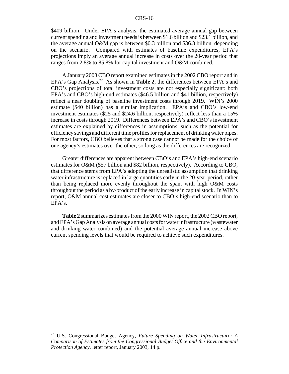\$409 billion. Under EPA's analysis, the estimated average annual gap between current spending and investment needs is between \$1.6 billion and \$23.1 billion, and the average annual O&M gap is between \$0.3 billion and \$36.3 billion, depending on the scenario. Compared with estimates of baseline expenditures, EPA's projections imply an average annual increase in costs over the 20-year period that ranges from 2.8% to 85.8% for capital investment and O&M combined.

A January 2003 CBO report examined estimates in the 2002 CBO report and in EPA's Gap Analysis.<sup>22</sup> As shown in **Table 2**, the differences between EPA's and CBO's projections of total investment costs are not especially significant: both EPA's and CBO's high-end estimates (\$46.5 billion and \$41 billion, respectively) reflect a near doubling of baseline investment costs through 2019. WIN's 2000 estimate (\$40 billion) has a similar implication. EPA's and CBO's low-end investment estimates (\$25 and \$24.6 billion, respectively) reflect less than a 15% increase in costs through 2019. Differences between EPA's and CBO's investment estimates are explained by differences in assumptions, such as the potential for efficiency savings and different time profiles for replacement of drinking water pipes. For most factors, CBO believes that a strong case cannot be made for the choice of one agency's estimates over the other, so long as the differences are recognized.

Greater differences are apparent between CBO's and EPA's high-end scenario estimates for O&M (\$57 billion and \$82 billion, respectively). According to CBO, that difference stems from EPA's adopting the unrealistic assumption that drinking water infrastructure is replaced in large quantities early in the 20-year period, rather than being replaced more evenly throughout the span, with high O&M costs throughout the period as a by-product of the early increase in capital stock. In WIN's report, O&M annual cost estimates are closer to CBO's high-end scenario than to EPA's.

**Table 2** summarizes estimates from the 2000 WIN report, the 2002 CBO report, and EPA's Gap Analysis on average annual costs for water infrastructure (wastewater and drinking water combined) and the potential average annual increase above current spending levels that would be required to achieve such expenditures.

<sup>22</sup> U.S. Congressional Budget Agency, *Future Spending on Water Infrastructure: A Comparison of Estimates from the Congressional Budget Office and the Environmental Protection Agency,* letter report, January 2003, 14 p.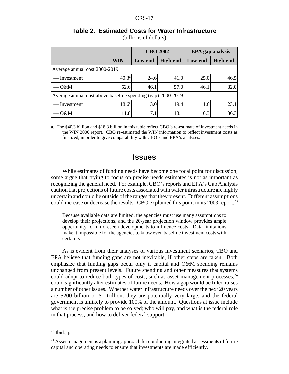|                                                             |                   | <b>CBO 2002</b> |                 | <b>EPA</b> gap analysis |                 |  |
|-------------------------------------------------------------|-------------------|-----------------|-----------------|-------------------------|-----------------|--|
|                                                             | WIN               | Low-end         | <b>High-end</b> | Low-end                 | <b>High-end</b> |  |
| Average annual cost 2000-2019                               |                   |                 |                 |                         |                 |  |
| Investment                                                  | $40.3^{\rm a}$    | 24.6            | 41.0            | 25.0                    | 46.5            |  |
| O&M                                                         | 52.6              | 46.1            | 57.0            | 46.1                    | 82.0            |  |
| Average annual cost above baseline spending (gap) 2000-2019 |                   |                 |                 |                         |                 |  |
| — Investment                                                | 18.6 <sup>a</sup> | 3.0             | 19.4            | 1.6                     | 23.1            |  |
| O&M                                                         | 11.8              | 7.1             | 18.1            | 0.3                     | 36.3            |  |

## **Table 2. Estimated Costs for Water Infrastructure**

(billions of dollars)

a. The \$40.3 billion and \$18.3 billion in this table reflect CBO's re-estimate of investment needs in the WIN 2000 report. CBO re-estimated the WIN information to reflect investment costs as financed, in order to give comparability with CBO's and EPA's analyses.

## **Issues**

While estimates of funding needs have become one focal point for discussion, some argue that trying to focus on precise needs estimates is not as important as recognizing the general need. For example, CBO's reports and EPA's Gap Analysis caution that projections of future costs associated with water infrastructure are highly uncertain and could lie outside of the ranges that they present. Different assumptions could increase or decrease the results. CBO explained this point in its 2003 report.<sup>23</sup>

Because available data are limited, the agencies must use many assumptions to develop their projections, and the 20-year projection window provides ample opportunity for unforeseen developments to influence costs. Data limitations make it impossible for the agencies to know even baseline investment costs with certainty.

As is evident from their analyses of various investment scenarios, CBO and EPA believe that funding gaps are not inevitable, if other steps are taken. Both emphasize that funding gaps occur only if capital and O&M spending remains unchanged from present levels. Future spending and other measures that systems could adopt to reduce both types of costs, such as asset management processes,  $24$ could significantly alter estimates of future needs. How a gap would be filled raises a number of other issues. Whether water infrastructure needs over the next 20 years are \$200 billion or \$1 trillion, they are potentially very large, and the federal government is unlikely to provide 100% of the amount. Questions at issue include what is the precise problem to be solved; who will pay, and what is the federal role in that process; and how to deliver federal support.

 $23$  Ibid., p. 1.

 $24$  Asset management is a planning approach for conducting integrated assessments of future capital and operating needs to ensure that investments are made efficiently.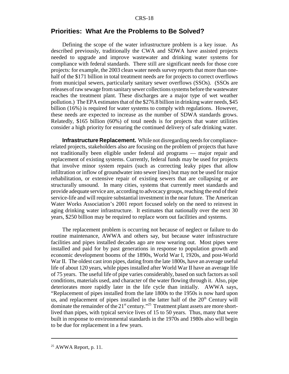#### **Priorities: What Are the Problems to Be Solved?**

Defining the scope of the water infrastructure problem is a key issue. As described previously, traditionally the CWA and SDWA have assisted projects needed to upgrade and improve wastewater and drinking water systems for compliance with federal standards. There still are significant needs for those core projects: for example, the 2003 clean water needs survey reports that more than onehalf of the \$171 billion in total treatment needs are for projects to correct overflows from municipal sewers, particularly sanitary sewer overflows (SSOs). (SSOs are releases of raw sewage from sanitary sewer collections systems before the wastewater reaches the treatment plant. These discharges are a major type of wet weather pollution.) The EPA estimates that of the \$276.8 billion in drinking water needs, \$45 billion (16%) is required for water systems to comply with regulations. However, these needs are expected to increase as the number of SDWA standards grows. Relatedly, \$165 billion (60%) of total needs is for projects that water utilities consider a high priority for ensuring the continued delivery of safe drinking water.

**Infrastructure Replacement.** While not disregarding needs for compliancerelated projects, stakeholders also are focusing on the problem of projects that have not traditionally been eligible under federal aid programs — major repair and replacement of existing systems. Currently, federal funds may be used for projects that involve minor system repairs (such as correcting leaky pipes that allow infiltration or inflow of groundwater into sewer lines) but may not be used for major rehabilitation, or extensive repair of existing sewers that are collapsing or are structurally unsound. In many cities, systems that currently meet standards and provide adequate service are, according to advocacy groups, reaching the end of their service-life and will require substantial investment in the near future. The American Water Works Association's 2001 report focused solely on the need to reinvest in aging drinking water infrastructure. It estimates that nationally over the next 30 years, \$250 billion may be required to replace worn out facilities and systems.

The replacement problem is occurring not because of neglect or failure to do routine maintenance, AWWA and others say, but because water infrastructure facilities and pipes installed decades ago are now wearing out. Most pipes were installed and paid for by past generations in response to population growth and economic development booms of the 1890s, World War I, 1920s, and post-World War II. The oldest cast iron pipes, dating from the late 1800s, have an average useful life of about 120 years, while pipes installed after World War II have an average life of 75 years. The useful life of pipe varies considerably, based on such factors as soil conditions, materials used, and character of the water flowing through it. Also, pipe deteriorates more rapidly later in the life cycle than initially. AWWA says, "Replacement of pipes installed from the late 1800s to the 1950s is now hard upon us, and replacement of pipes installed in the latter half of the  $20<sup>th</sup>$  Century will dominate the remainder of the  $21^{st}$  century.<sup>325</sup> Treatment plant assets are more shortlived than pipes, with typical service lives of 15 to 50 years. Thus, many that were built in response to environmental standards in the 1970s and 1980s also will begin to be due for replacement in a few years.

 $25$  AWWA Report, p. 11.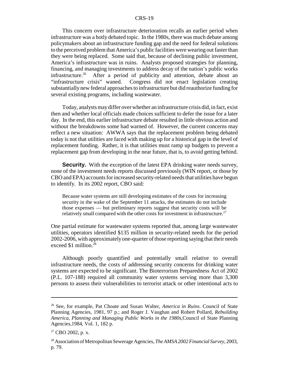This concern over infrastructure deterioration recalls an earlier period when infrastructure was a hotly debated topic. In the 1980s, there was much debate among policymakers about an infrastructure funding gap and the need for federal solutions to the perceived problem that America's public facilities were wearing out faster than they were being replaced. Some said that, because of declining public investment, America's infrastructure was in ruins. Analysts proposed strategies for planning, financing, and managing investments to address decay of the nation's public works infrastructure.<sup>26</sup> After a period of publicity and attention, debate about an "infrastructure crisis" waned. Congress did not enact legislation creating substantially new federal approaches to infrastructure but did reauthorize funding for several existing programs, including wastewater.

Today, analysts may differ over whether an infrastructure crisis did, in fact, exist then and whether local officials made choices sufficient to defer the issue for a later day. In the end, this earlier infrastructure debate resulted in little obvious action and without the breakdowns some had warned of. However, the current concerns may reflect a new situation: AWWA says that the replacement problem being debated today is not that utilities are faced with making up for a historical gap in the level of replacement funding. Rather, it is that utilities must ramp up budgets to prevent a replacement gap from developing in the near future, that is, to avoid getting behind.

**Security.** With the exception of the latest EPA drinking water needs survey, none of the investment needs reports discussed previously (WIN report, or those by CBO and EPA) accounts for increased security-related needs that utilities have begun to identify. In its 2002 report, CBO said:

Because water systems are still developing estimates of the costs for increasing security in the wake of the September 11 attacks, the estimates do not include those expenses — but preliminary reports suggest that security costs will be relatively small compared with the other costs for investment in infrastructure.<sup>27</sup>

One partial estimate for wastewater systems reported that, among large wastewater utilities, operators identified \$135 million in security-related needs for the period 2002-2006, with approximately one-quarter of those reporting saying that their needs exceed \$1 million.<sup>28</sup>

Although poorly quantified and potentially small relative to overall infrastructure needs, the costs of addressing security concerns for drinking water systems are expected to be significant. The Bioterrorism Preparedness Act of 2002 (P.L. 107-188) required all community water systems serving more than 3,300 persons to assess their vulnerabilities to terrorist attack or other intentional acts to

<sup>26</sup> See, for example, Pat Choate and Susan Walter, *America in Ruins*. Council of State Planning Agencies, 1981, 97 p.; and Roger J. Vaughan and Robert Pollard, *Rebuilding America, Planning and Managing Public Works in the 1980s,*Council of State Planning Agencies,1984, Vol. 1, 182 p.

 $27$  CBO 2002, p. x.

<sup>28</sup> Association of Metropolitan Sewerage Agencies, *The AMSA 2002 Financial Survey*, 2003, p. 79.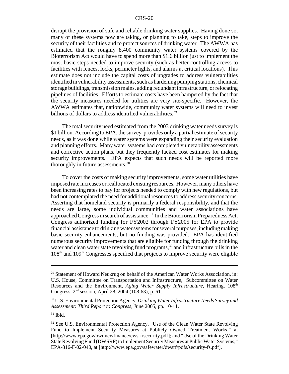disrupt the provision of safe and reliable drinking water supplies. Having done so, many of these systems now are taking, or planning to take, steps to improve the security of their facilities and to protect sources of drinking water. The AWWA has estimated that the roughly 8,400 community water systems covered by the Bioterrorism Act would have to spend more than \$1.6 billion just to implement the most basic steps needed to improve security (such as better controlling access to facilities with fences, locks, perimeter lights, and alarms at critical locations). This estimate does not include the capital costs of upgrades to address vulnerabilities identified in vulnerability assessments, such as hardening pumping stations, chemical storage buildings, transmission mains, adding redundant infrastructure, or relocating pipelines of facilities. Efforts to estimate costs have been hampered by the fact that the security measures needed for utilities are very site-specific. However, the AWWA estimates that, nationwide, community water systems will need to invest billions of dollars to address identified vulnerabilities.<sup>29</sup>

The total security need estimated from the 2003 drinking water needs survey is \$1 billion. According to EPA, the survey provides only a partial estimate of security needs, as it was done while water systems were expanding their security evaluation and planning efforts. Many water systems had completed vulnerability assessments and corrective action plans, but they frequently lacked cost estimates for making security improvements. EPA expects that such needs will be reported more thoroughly in future assessments.30

To cover the costs of making security improvements, some water utilities have imposed rate increases or reallocated existing resources. However, many others have been increasing rates to pay for projects needed to comply with new regulations, but had not contemplated the need for additional resources to address security concerns. Asserting that homeland security is primarily a federal responsibility, and that the needs are large, some individual communities and water associations have approached Congress in search of assistance.<sup>31</sup> In the Bioterrorism Preparedness Act, Congress authorized funding for FY2002 through FY2005 for EPA to provide financial assistance to drinking water systems for several purposes, including making basic security enhancements, but no funding was provided. EPA has identified numerous security improvements that are eligible for funding through the drinking water and clean water state revolving fund programs, $32$  and infrastructure bills in the  $108<sup>th</sup>$  and  $109<sup>th</sup>$  Congresses specified that projects to improve security were eligible

 $29$  Statement of Howard Neukrug on behalf of the American Water Works Association, in: U.S. House, Committee on Transportation and Infrastructure, Subcommittee on Water Resources and the Environment, *Aging Water Supply Infrastructure*, Hearing, 108<sup>th</sup> Congress, 2nd session, April 28, 2004 (108-63), p. 61.

<sup>30</sup> U.S. Environmental Protection Agency, *Drinking Water Infrastructure Needs Survey and Assessment: Third Report to Congress*, June 2005, pp. 10-11.

 $31$  Ibid.

<sup>&</sup>lt;sup>32</sup> See U.S. Environmental Protection Agency, "Use of the Clean Water State Revolving Fund to Implement Security Measures at Publicly Owned Treatment Works," at [http://www.epa.gov/owm/cwfinance/cwsrf/security.pdf]; and "Use of the Drinking Water State Revolving Fund (DWSRF) to Implement Security Measures at Public Water Systems," EPA-816-F-02-040, at [http://www.epa.gov/safewater/dwsrf/pdfs/security-fs.pdf].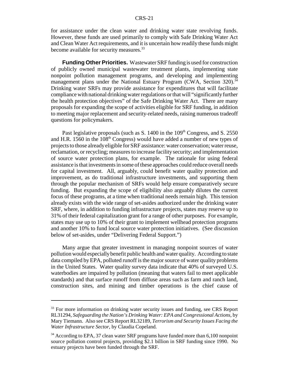for assistance under the clean water and drinking water state revolving funds. However, these funds are used primarily to comply with Safe Drinking Water Act and Clean Water Act requirements, and it is uncertain how readily these funds might become available for security measures.<sup>33</sup>

**Funding Other Priorities.** Wastewater SRF funding is used for construction of publicly owned municipal wastewater treatment plants, implementing state nonpoint pollution management programs, and developing and implementing management plans under the National Estuary Program (CWA, Section 320).<sup>34</sup> Drinking water SRFs may provide assistance for expenditures that will facilitate compliance with national drinking water regulations or that will "significantly further the health protection objectives" of the Safe Drinking Water Act. There are many proposals for expanding the scope of activities eligible for SRF funding, in addition to meeting major replacement and security-related needs, raising numerous tradeoff questions for policymakers.

Past legislative proposals (such as S. 1400 in the 109<sup>th</sup> Congress, and S. 2550) and H.R. 1560 in the  $108<sup>th</sup>$  Congress) would have added a number of new types of projects to those already eligible for SRF assistance: water conservation; water reuse, reclamation, or recycling; measures to increase facility security; and implementation of source water protection plans, for example. The rationale for using federal assistance is that investments in some of these approaches could reduce overall needs for capital investment. All, arguably, could benefit water quality protection and improvement, as do traditional infrastructure investments, and supporting them through the popular mechanism of SRFs would help ensure comparatively secure funding. But expanding the scope of eligibility also arguably dilutes the current focus of these programs, at a time when traditional needs remain high. This tension already exists with the wide range of set-asides authorized under the drinking water SRF, where, in addition to funding infrastructure projects, states may reserve up to 31% of their federal capitalization grant for a range of other purposes. For example, states may use up to 10% of their grant to implement wellhead protection programs and another 10% to fund local source water protection initiatives. (See discussion below of set-asides, under "Delivering Federal Support.")

Many argue that greater investment in managing nonpoint sources of water pollution would especially benefit public health and water quality. According to state data compiled by EPA, polluted runoff is the major source of water quality problems in the United States. Water quality survey data indicate that 40% of surveyed U.S. waterbodies are impaired by pollution (meaning that waters fail to meet applicable standards) and that surface runoff from diffuse areas such as farm and ranch land, construction sites, and mining and timber operations is the chief cause of

<sup>&</sup>lt;sup>33</sup> For more information on drinking water security issues and funding, see CRS Report RL31294, *Safeguarding the Nation's Drinking Water: EPA and Congressional Actions*, by Mary Tiemann. Also see CRS Report RL32189, *Terrorism and Security Issues Facing the Water Infrastructure Sector*, by Claudia Copeland.

<sup>&</sup>lt;sup>34</sup> According to EPA, 37 clean water SRF programs have funded more than 6,100 nonpoint source pollution control projects, providing \$2.1 billion in SRF funding since 1990. No estuary projects have been funded through the SRF.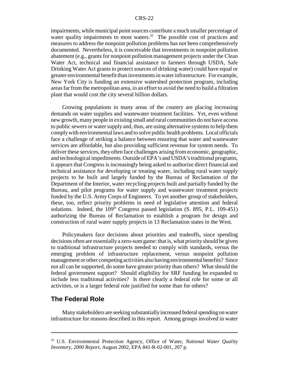impairments, while municipal point sources contribute a much smaller percentage of water quality impairments to most waters.<sup>35</sup> The possible cost of practices and measures to address the nonpoint pollution problems has not been comprehensively documented. Nevertheless, it is conceivable that investments in nonpoint pollution abatement (e.g., grants for nonpoint pollution management projects under the Clean Water Act, technical and financial assistance to farmers through USDA, Safe Drinking Water Act grants to protect sources of drinking water) could have equal or greater environmental benefit than investments in water infrastructure. For example, New York City is funding an extensive watershed protection program, including areas far from the metropolitan area, in an effort to avoid the need to build a filtration plant that would cost the city several billion dollars.

Growing populations in many areas of the country are placing increasing demands on water supplies and wastewater treatment facilities. Yet, even without new growth, many people in existing small and rural communities do not have access to public sewers or water supply and, thus, are using alternative systems to help them comply with environmental laws and to solve public health problems. Local officials face a challenge of striking a balance between ensuring that water and wastewater services are affordable, but also providing sufficient revenue for system needs. To deliver these services, they often face challenges arising from economic, geographic, and technological impediments. Outside of EPA's and USDA's traditional programs, it appears that Congress is increasingly being asked to authorize direct financial and technical assistance for developing or treating water, including rural water supply projects to be built and largely funded by the Bureau of Reclamation of the Department of the Interior, water recycling projects built and partially funded by the Bureau, and pilot programs for water supply and wastewater treatment projects funded by the U.S. Army Corps of Engineers. To yet another group of stakeholders, these, too, reflect priority problems in need of legislative attention and federal solutions. Indeed, the  $109<sup>th</sup>$  Congress passed legislation (S. 895, P.L. 109-451) authorizing the Bureau of Reclamation to establish a program for design and construction of rural water supply projects in 13 Reclamation states in the West.

Policymakers face decisions about priorities and tradeoffs, since spending decisions often are essentially a zero-sum game: that is, what priority should be given to traditional infrastructure projects needed to comply with standards, versus the emerging problem of infrastructure replacement, versus nonpoint pollution management or other competing activities also having environmental benefits? Since not all can be supported, do some have greater priority than others? What should the federal government support? Should eligibility for SRF funding be expanded to include less traditional activities? Is there clearly a federal role for some or all activities, or is a larger federal role justified for some than for others?

## **The Federal Role**

Many stakeholders are seeking substantially increased federal spending on water infrastructure for reasons described in this report. Among groups involved in water

<sup>35</sup> U.S. Environmental Protection Agency, Office of Water, *National Water Quality Inventory, 2000 Report*, August 2002, EPA 841-R-02-001, 207 p.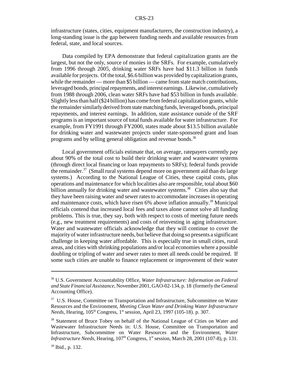infrastructure (states, cities, equipment manufacturers, the construction industry), a long-standing issue is the gap between funding needs and available resources from federal, state, and local sources.

Data compiled by EPA demonstrate that federal capitalization grants are the largest, but not the only, source of monies in the SRFs. For example, cumulatively from 1996 through 2005, drinking water SRFs have had \$11.3 billion in funds available for projects. Of the total, \$6.6 billion was provided by capitalization grants, while the remainder — more than \$5 billion — came from state match contributions, leveraged bonds, principal repayments, and interest earnings. Likewise, cumulatively from 1988 through 2006, clean water SRFs have had \$53 billion in funds available. Slightly less than half (\$24 billion) has come from federal capitalization grants, while the remainder similarly derived from state matching funds, leveraged bonds, principal repayments, and interest earnings. In addition, state assistance outside of the SRF programs is an important source of total funds available for water infrastructure. For example, from FY1991 through FY2000, states made about \$13.5 billion available for drinking water and wastewater projects under state-sponsored grant and loan programs and by selling general obligation and revenue bonds.<sup>36</sup>

Local government officials estimate that, on average, ratepayers currently pay about 90% of the total cost to build their drinking water and wastewater systems (through direct local financing or loan repayments to SRFs); federal funds provide the remainder. $37$  (Small rural systems depend more on government aid than do large systems.) According to the National League of Cities, these capital costs, plus operations and maintenance for which localities also are responsible, total about \$60 billion annually for drinking water and wastewater systems.<sup>38</sup> Cities also say that they have been raising water and sewer rates to accommodate increases in operating and maintenance costs, which have risen  $6\%$  above inflation annually.<sup>39</sup> Municipal officials contend that increased local fees and taxes alone cannot solve all funding problems. This is true, they say, both with respect to costs of meeting future needs (e.g., new treatment requirements) and costs of reinvesting in aging infrastructure. Water and wastewater officials acknowledge that they will continue to cover the majority of water infrastructure needs, but believe that doing so presents a significant challenge in keeping water affordable. This is especially true in small cities, rural areas, and cities with shrinking populations and/or local economies where a possible doubling or tripling of water and sewer rates to meet all needs could be required. If some such cities are unable to finance replacement or improvement of their water

<sup>36</sup> U.S. Government Accountability Office, *Water Infrastructure: Information on Federal and State Financial Assistance,* November 2001, GAO-02-134, p. 18 (formerly the General Accounting Office).

<sup>&</sup>lt;sup>37</sup> U.S. House, Committee on Transportation and Infrastructure, Subcommittee on Water Resources and the Environment, *Meeting Clean Water and Drinking Water Infrastructure Needs*, Hearing, 105<sup>th</sup> Congress, 1<sup>st</sup> session, April 23, 1997 (105-18). p. 307.

<sup>&</sup>lt;sup>38</sup> Statement of Bruce Tobey on behalf of the National League of Cities on Water and Wastewater Infrastructure Needs in: U.S. House, Committee on Transportation and Infrastructure, Subcommittee on Water Resources and the Environment, *Water Infrastructure Needs, Hearing,*  $107<sup>th</sup>$  *Congress,*  $1<sup>st</sup>$  *session, March 28, 2001 (107-8), p. 131.* 

<sup>39</sup> Ibid., p. 132.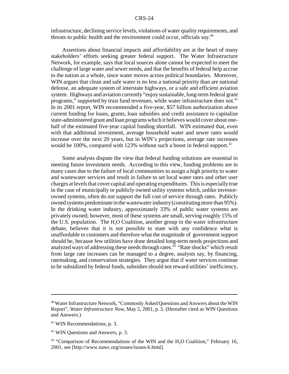infrastructure, declining service levels, violations of water quality requirements, and threats to public health and the environment could occur, officials say.<sup>40</sup>

Assertions about financial impacts and affordability are at the heart of many stakeholders' efforts seeking greater federal support. The Water Infrastructure Network, for example, says that local sources alone cannot be expected to meet the challenge of large water and sewer needs, and that the benefits of federal help accrue to the nation as a whole, since water moves across political boundaries. Moreover, WIN argues that clean and safe water is no less a national priority than are national defense, an adequate system of interstate highways, or a safe and efficient aviation system. Highways and aviation currently "enjoy sustainable, long-term federal grant programs," supported by trust fund revenues, while water infrastructure does not.<sup>41</sup> In its 2001 report, WIN recommended a five-year, \$57 billion authorization above current funding for loans, grants, loan subsidies and credit assistance to capitalize state-administered grant and loan programs which it believes would cover about onehalf of the estimated five-year capital funding shortfall. WIN estimated that, even with that additional investment, average household water and sewer rates would increase over the next 20 years, but in WIN's projections, average rate increases would be 100%, compared with 123% without such a boost in federal support.<sup>42</sup>

Some analysts dispute the view that federal funding solutions are essential to meeting future investment needs. According to this view, funding problems are in many cases due to the failure of local communities to assign a high priority to water and wastewater services and result in failure to set local water rates and other user charges at levels that cover capital and operating expenditures. This is especially true in the case of municipally or publicly owned utility systems which, unlike investorowned systems, often do not support the full cost of service through rates. Publicly owned systems predominate in the wastewater industry (constituting more than 95%). In the drinking water industry, approximately 33% of public water systems are privately owned; however, most of these systems are small, serving roughly 15% of the U.S. population. The H2O Coalition, another group in the water infrastructure debate, believes that it is not possible to state with any confidence what is unaffordable to customers and therefore what the magnitude of government support should be, because few utilities have done detailed long-term needs projections and analyzed ways of addressing these needs through rates.<sup>43</sup> "Rate shocks" which result from large rate increases can be managed to a degree, analysts say, by financing, ratemaking, and conservation strategies. They argue that if water services continue to be subsidized by federal funds, subsidies should not reward utilities' inefficiency,

<sup>40</sup> Water Infrastructure Network, "Commonly Asked Questions and Answers about the WIN Report", *Water Infrastructure Now*, May 5, 2001, p. 5. (Hereafter cited as WIN Questions and Answers.)

<sup>&</sup>lt;sup>41</sup> WIN Recommendations, p. 3.

 $42$  WIN Questions and Answers, p. 3.

 $43$  "Comparison of Recommendations of the WIN and the H<sub>2</sub>O Coalition," February 16, 2001, see [http://www.nawc.org/issues/issues-h.html].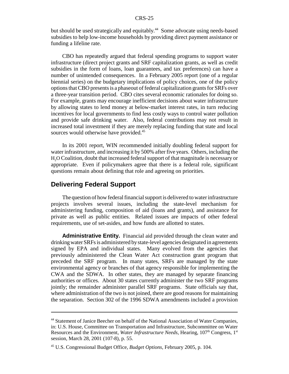but should be used strategically and equitably.<sup>44</sup> Some advocate using needs-based subsidies to help low-income households by providing direct payment assistance or funding a lifeline rate.

CBO has repeatedly argued that federal spending programs to support water infrastructure (direct project grants and SRF capitalization grants, as well as credit subsidies in the form of loans, loan guarantees, and tax preferences) can have a number of unintended consequences. In a February 2005 report (one of a regular biennial series) on the budgetary implications of policy choices, one of the policy options that CBO presents is a phaseout of federal capitalization grants for SRFs over a three-year transition period. CBO cites several economic rationales for doing so. For example, grants may encourage inefficient decisions about water infrastructure by allowing states to lend money at below-market interest rates, in turn reducing incentives for local governments to find less costly ways to control water pollution and provide safe drinking water. Also, federal contributions may not result in increased total investment if they are merely replacing funding that state and local sources would otherwise have provided.<sup>45</sup>

In its 2001 report, WIN recommended initially doubling federal support for water infrastructure, and increasing it by 500% after five years. Others, including the H2O Coalition, doubt that increased federal support of that magnitude is necessary or appropriate. Even if policymakers agree that there is a federal role, significant questions remain about defining that role and agreeing on priorities.

## **Delivering Federal Support**

The question of how federal financial support is delivered to water infrastructure projects involves several issues, including the state-level mechanism for administering funding, composition of aid (loans and grants), and assistance for private as well as public entities. Related issues are impacts of other federal requirements, use of set-asides, and how funds are allotted to states.

**Administrative Entity.** Financial aid provided through the clean water and drinking water SRFs is administered by state-level agencies designated in agreements signed by EPA and individual states. Many evolved from the agencies that previously administered the Clean Water Act construction grant program that preceded the SRF program. In many states, SRFs are managed by the state environmental agency or branches of that agency responsible for implementing the CWA and the SDWA. In other states, they are managed by separate financing authorities or offices. About 30 states currently administer the two SRF programs jointly; the remainder administer parallel SRF programs. State officials say that, where administration of the two is not joined, there are good reasons for maintaining the separation. Section 302 of the 1996 SDWA amendments included a provision

<sup>44</sup> Statement of Janice Beecher on behalf of the National Association of Water Companies, in: U.S. House, Committee on Transportation and Infrastructure, Subcommittee on Water Resources and the Environment, *Water Infrastructure Needs*, Hearing, 107<sup>th</sup> Congress, 1<sup>st</sup> session, March 28, 2001 (107-8), p. 55.

<sup>45</sup> U.S. Congressional Budget Office, *Budget Options,* February 2005, p. 104.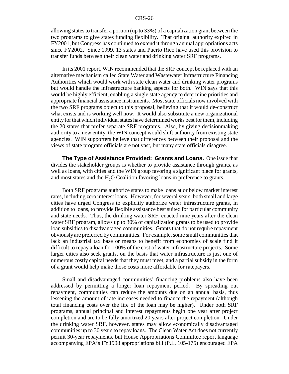allowing states to transfer a portion (up to 33%) of a capitalization grant between the two programs to give states funding flexibility. That original authority expired in FY2001, but Congress has continued to extend it through annual appropriations acts since FY2002. Since 1999, 13 states and Puerto Rico have used this provision to transfer funds between their clean water and drinking water SRF programs.

In its 2001 report, WIN recommended that the SRF concept be replaced with an alternative mechanism called State Water and Wastewater Infrastructure Financing Authorities which would work with state clean water and drinking water programs but would handle the infrastructure banking aspects for both. WIN says that this would be highly efficient, enabling a single state agency to determine priorities and appropriate financial assistance instruments. Most state officials now involved with the two SRF programs object to this proposal, believing that it would de-construct what exists and is working well now. It would also substitute a new organizational entity for that which individual states have determined works best for them, including the 20 states that prefer separate SRF programs. Also, by giving decisionmaking authority to a new entity, the WIN concept would shift authority from existing state agencies. WIN supporters believe that differences between their proposal and the views of state program officials are not vast, but many state officials disagree.

**The Type of Assistance Provided: Grants and Loans.** One issue that divides the stakeholder groups is whether to provide assistance through grants, as well as loans, with cities and the WIN group favoring a significant place for grants, and most states and the  $H<sub>2</sub>O$  Coalition favoring loans in preference to grants.

Both SRF programs authorize states to make loans at or below market interest rates, including zero interest loans. However, for several years, both small and large cities have urged Congress to explicitly authorize water infrastructure grants, in addition to loans, to provide flexible assistance best suited for particular community and state needs. Thus, the drinking water SRF, enacted nine years after the clean water SRF program, allows up to 30% of capitalization grants to be used to provide loan subsidies to disadvantaged communities. Grants that do not require repayment obviously are preferred by communities. For example, some small communities that lack an industrial tax base or means to benefit from economies of scale find it difficult to repay a loan for 100% of the cost of water infrastructure projects. Some larger cities also seek grants, on the basis that water infrastructure is just one of numerous costly capital needs that they must meet, and a partial subsidy in the form of a grant would help make those costs more affordable for ratepayers.

Small and disadvantaged communities' financing problems also have been addressed by permitting a longer loan repayment period. By spreading out repayment, communities can reduce the amounts due on an annual basis, thus lessening the amount of rate increases needed to finance the repayment (although total financing costs over the life of the loan may be higher). Under both SRF programs, annual principal and interest repayments begin one year after project completion and are to be fully amortized 20 years after project completion. Under the drinking water SRF, however, states may allow economically disadvantaged communities up to 30 years to repay loans. The Clean Water Act does not currently permit 30-year repayments, but House Appropriations Committee report language accompanying EPA's FY1998 appropriations bill (P.L. 105-175) encouraged EPA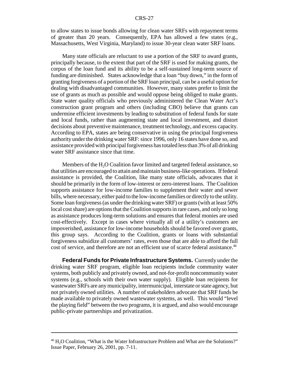to allow states to issue bonds allowing for clean water SRFs with repayment terms of greater than 20 years. Consequently, EPA has allowed a few states (e.g., Massachusetts, West Virginia, Maryland) to issue 30-year clean water SRF loans.

Many state officials are reluctant to use a portion of the SRF to award grants, principally because, to the extent that part of the SRF is used for making grants, the corpus of the loan fund and its ability to be a self-sustained long-term source of funding are diminished. States acknowledge that a loan "buy down," in the form of granting forgiveness of a portion of the SRF loan principal, can be a useful option for dealing with disadvantaged communities. However, many states prefer to limit the use of grants as much as possible and would oppose being obliged to make grants. State water quality officials who previously administered the Clean Water Act's construction grant program and others (including CBO) believe that grants can undermine efficient investments by leading to substitution of federal funds for state and local funds, rather than augmenting state and local investment, and distort decisions about preventive maintenance, treatment technology, and excess capacity. According to EPA, states are being conservative in using the principal forgiveness authority under the drinking water SRF: since 1996, only 16 states have done so, and assistance provided with principal forgiveness has totaled less than 3% of all drinking water SRF assistance since that time.

Members of the H<sub>2</sub>O Coalition favor limited and targeted federal assistance, so that utilities are encouraged to attain and maintain business-like operations. If federal assistance is provided, the Coalition, like many state officials, advocates that it should be primarily in the form of low-interest or zero-interest loans. The Coalition supports assistance for low-income families to supplement their water and sewer bills, where necessary, either paid to the low-income families or directly to the utility. Some loan forgiveness (as under the drinking water SRF) or grants (with at least 50% local cost share) are options that the Coalition supports in rare cases, and only so long as assistance produces long-term solutions and ensures that federal monies are used cost-effectively. Except in cases where virtually all of a utility's customers are impoverished, assistance for low-income households should be favored over grants, this group says. According to the Coalition, grants or loans with substantial forgiveness subsidize all customers' rates, even those that are able to afford the full cost of service, and therefore are not an efficient use of scarce federal assistance.<sup>46</sup>

**Federal Funds for Private Infrastructure Systems.** Currently under the drinking water SRF program, eligible loan recipients include community water systems, both publicly and privately owned, and not-for-profit noncommunity water systems (e.g., schools with their own water supply). Eligible loan recipients for wastewater SRFs are any municipality, intermunicipal, interstate or state agency, but not privately owned utilities. A number of stakeholders advocate that SRF funds be made available to privately owned wastewater systems, as well. This would "level the playing field" between the two programs, it is argued, and also would encourage public-private partnerships and privatization.

<sup>&</sup>lt;sup>46</sup> H<sub>2</sub>O Coalition, "What is the Water Infrastructure Problem and What are the Solutions?" Issue Paper, February 26, 2001, pp. 7-11.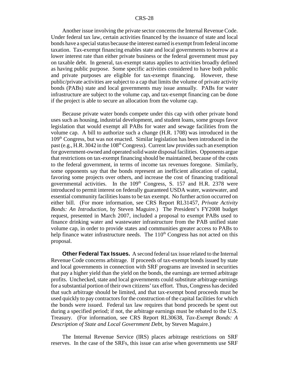Another issue involving the private sector concerns the Internal Revenue Code. Under federal tax law, certain activities financed by the issuance of state and local bonds have a special status because the interest earned is exempt from federal income taxation. Tax-exempt financing enables state and local governments to borrow at a lower interest rate than either private business or the federal government must pay on taxable debt. In general, tax-exempt status applies to activities broadly defined as having public purpose. Some specific activities considered to have both public and private purposes are eligible for tax-exempt financing. However, these public/private activities are subject to a cap that limits the volume of private activity bonds (PABs) state and local governments may issue annually. PABs for water infrastructure are subject to the volume cap, and tax-exempt financing can be done if the project is able to secure an allocation from the volume cap.

Because private water bonds compete under this cap with other private bond uses such as housing, industrial development, and student loans, some groups favor legislation that would exempt all PABs for water and sewage facilities from the volume cap. A bill to authorize such a change (H.R. 1708) was introduced in the 109th Congress, but was not enacted. Similar legislation has been introduced in the past (e.g., H.R. 3042 in the  $108<sup>th</sup> Congress$ ). Current law provides such an exemption for government-owned and operated solid waste disposal facilities. Opponents argue that restrictions on tax-exempt financing should be maintained, because of the costs to the federal government, in terms of income tax revenues foregone. Similarly, some opponents say that the bonds represent an inefficient allocation of capital, favoring some projects over others, and increase the cost of financing traditional governmental activities. In the  $109<sup>th</sup>$  Congress, S. 157 and H.R. 2378 were introduced to permit interest on federally guaranteed USDA water, wastewater, and essential community facilities loans to be tax exempt. No further action occurred on either bill. (For more information, see CRS Report RL31457, *Private Activity Bonds: An Introduction*, by Steven Maguire.) The President's FY2008 budget request, presented in March 2007, included a proposal to exempt PABs used to finance drinking water and wastewater infrastructure from the PAB unified state volume cap, in order to provide states and communities greater access to PABs to help finance water infrastructure needs. The  $110<sup>th</sup>$  Congress has not acted on this proposal.

**Other Federal Tax Issues.** A second federal tax issue related to the Internal Revenue Code concerns arbitrage. If proceeds of tax-exempt bonds issued by state and local governments in connection with SRF programs are invested in securities that pay a higher yield than the yield on the bonds, the earnings are termed arbitrage profits. Unchecked, state and local governments could substitute arbitrage earnings for a substantial portion of their own citizens' tax effort. Thus, Congress has decided that such arbitrage should be limited, and that tax-exempt bond proceeds must be used quickly to pay contractors for the construction of the capital facilities for which the bonds were issued. Federal tax law requires that bond proceeds be spent out during a specified period; if not, the arbitrage earnings must be rebated to the U.S. Treasury. (For information, see CRS Report RL30638, *Tax-Exempt Bonds: A Description of State and Local Government Debt*, by Steven Maguire.)

The Internal Revenue Service (IRS) places arbitrage restrictions on SRF reserves. In the case of the SRFs, this issue can arise when governments use SRF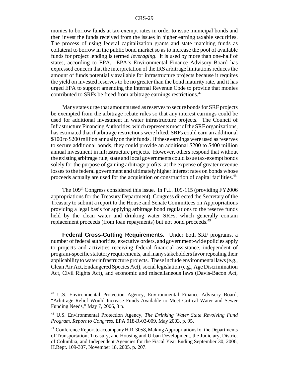monies to borrow funds at tax-exempt rates in order to issue municipal bonds and then invest the funds received from the issues in higher earning taxable securities. The process of using federal capitalization grants and state matching funds as collateral to borrow in the public bond market so as to increase the pool of available funds for project lending is termed *leveraging*. It is used by more than one-half of states, according to EPA. EPA's Environmental Finance Advisory Board has expressed concern that the interpretation of the IRS arbitrage limitations reduces the amount of funds potentially available for infrastructure projects because it requires the yield on invested reserves to be no greater than the bond maturity rate, and it has urged EPA to support amending the Internal Revenue Code to provide that monies contributed to SRFs be freed from arbitrage earnings restrictions.47

Many states urge that amounts used as reserves to secure bonds for SRF projects be exempted from the arbitrage rebate rules so that any interest earnings could be used for additional investment in water infrastructure projects. The Council of Infrastructure Financing Authorities, which represents most of the SRF organizations, has estimated that if arbitrage restrictions were lifted, SRFs could earn an additional \$100 to \$200 million annually on their funds. If these earnings were used as reserves to secure additional bonds, they could provide an additional \$200 to \$400 million annual investment in infrastructure projects. However, others respond that without the existing arbitrage rule, state and local governments could issue tax-exempt bonds solely for the purpose of gaining arbitrage profits, at the expense of greater revenue losses to the federal government and ultimately higher interest rates on bonds whose proceeds actually are used for the acquisition or construction of capital facilities.48

The 109<sup>th</sup> Congress considered this issue. In P.L. 109-115 (providing FY2006) appropriations for the Treasury Department), Congress directed the Secretary of the Treasury to submit a report to the House and Senate Committees on Appropriations providing a legal basis for applying arbitrage bond regulations to the reserve funds held by the clean water and drinking water SRFs, which generally contain replacement proceeds (from loan repayments) but not bond proceeds.<sup>49</sup>

**Federal Cross-Cutting Requirements.** Under both SRF programs, a number of federal authorities, executive orders, and government-wide policies apply to projects and activities receiving federal financial assistance, independent of program-specific statutory requirements, and many stakeholders favor repealing their applicability to water infrastructure projects. These include environmental laws (e.g., Clean Air Act, Endangered Species Act), social legislation (e.g., Age Discrimination Act, Civil Rights Act), and economic and miscellaneous laws (Davis-Bacon Act,

<sup>&</sup>lt;sup>47</sup> U.S. Environmental Protection Agency, Environmental Finance Advisory Board, "Arbitrage Relief Would Increase Funds Available to Meet Critical Water and Sewer Funding Needs," May 7, 2006, 3 p.

<sup>48</sup> U.S. Environmental Protection Agency, *The Drinking Water State Revolving Fund Program, Report to Congress*, EPA 918-R-03-009, May 2003, p. 95.

<sup>&</sup>lt;sup>49</sup> Conference Report to accompany H.R. 3058, Making Appropriations for the Departments of Transportation, Treasury, and Housing and Urban Development, the Judiciary, District of Columbia, and Independent Agencies for the Fiscal Year Ending September 30, 2006, H.Rept. 109-307, November 18, 2005, p. 207.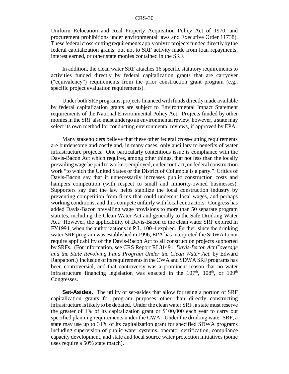Uniform Relocation and Real Property Acquisition Policy Act of 1970, and procurement prohibitions under environmental laws and Executive Order 11738). These federal cross-cutting requirements apply only to projects funded directly by the federal capitalization grants, but not to SRF activity made from loan repayments, interest earned, or other state monies contained in the SRF.

In addition, the clean water SRF attaches 16 specific statutory requirements to activities funded directly by federal capitalization grants that are carryover ("equivalency") requirements from the prior construction grant program (e.g., specific project evaluation requirements).

Under both SRF programs, projects financed with funds directly made available by federal capitalization grants are subject to Environmental Impact Statement requirements of the National Environmental Policy Act. Projects funded by other monies in the SRF also must undergo an environmental review; however, a state may select its own method for conducting environmental reviews, if approved by EPA.

Many stakeholders believe that these other federal cross-cutting requirements are burdensome and costly and, in many cases, only ancillary to benefits of water infrastructure projects. One particularly contentious issue is compliance with the Davis-Bacon Act which requires, among other things, that not less than the locally prevailing wage be paid to workers employed, under contract, on federal construction work "to which the United States or the District of Columbia is a party." Critics of Davis-Bacon say that it unnecessarily increases public construction costs and hampers competition (with respect to small and minority-owned businesses). Supporters say that the law helps stabilize the local construction industry by preventing competition from firms that could undercut local wages, and perhaps working conditions, and thus compete unfairly with local contractors. Congress has added Davis-Bacon prevailing wage provisions to more than 50 separate program statutes, including the Clean Water Act and generally to the Safe Drinking Water Act. However, the applicability of Davis-Bacon to the clean water SRF expired in FY1994, when the authorizations in P.L. 100-4 expired. Further, since the drinking water SRF program was established in 1996, EPA has interpreted the SDWA to not require applicability of the Davis-Bacon Act to all construction projects supported by SRFs. (For information, see CRS Report RL31491, *Davis-Bacon Act Coverage and the State Revolving Fund Program Under the Clean Water Act*, by Edward Rappaport.) Inclusion of its requirements in the CWA and SDWA SRF programs has been controversial, and that controversy was a prominent reason that no water infrastructure financing legislation was enacted in the  $107<sup>th</sup>$ ,  $108<sup>th</sup>$ , or  $109<sup>th</sup>$ Congresses.

**Set-Asides.** The utility of set-asides that allow for using a portion of SRF capitalization grants for program purposes other than directly constructing infrastructure is likely to be debated. Under the clean water SRF, a state must reserve the greater of 1% of its capitalization grant or \$100,000 each year to carry out specified planning requirements under the CWA. Under the drinking water SRF, a state may use up to 31% of its capitalization grant for specified SDWA programs including supervision of public water systems, operator certification, compliance capacity development, and state and local source water protection initiatives (some uses require a 50% state match).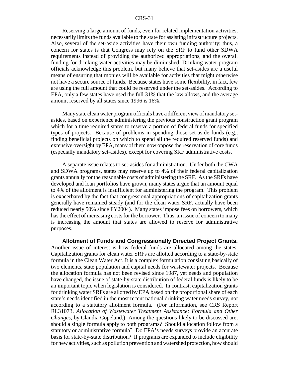Reserving a large amount of funds, even for related implementation activities, necessarily limits the funds available to the state for assisting infrastructure projects. Also, several of the set-aside activities have their own funding authority; thus, a concern for states is that Congress may rely on the SRF to fund other SDWA requirements instead of providing the authorized appropriations, and the overall funding for drinking water activities may be diminished. Drinking water program officials acknowledge this problem, but many believe that set-asides are a useful means of ensuring that monies will be available for activities that might otherwise not have a secure source of funds. Because states have some flexibility, in fact, few are using the full amount that could be reserved under the set-asides. According to EPA, only a few states have used the full 31% that the law allows, and the average amount reserved by all states since 1996 is 16%.

Many state clean water program officials have a different view of mandatory setasides, based on experience administering the previous construction grant program which for a time required states to reserve a portion of federal funds for specified types of projects. Because of problems in spending those set-aside funds (e.g., finding beneficial projects on which to spend all the required reserved funds) and extensive oversight by EPA, many of them now oppose the reservation of core funds (especially mandatory set-asides), except for covering SRF administrative costs.

A separate issue relates to set-asides for administration. Under both the CWA and SDWA programs, states may reserve up to 4% of their federal capitalization grants annually for the reasonable costs of administering the SRF. As the SRFs have developed and loan portfolios have grown, many states argue that an amount equal to 4% of the allotment is insufficient for administering the program. This problem is exacerbated by the fact that congressional appropriations of capitalization grants generally have remained steady (and for the clean water SRF, actually have been reduced nearly 50% since FY2004). Many states impose fees on borrowers, which has the effect of increasing costs for the borrower. Thus, an issue of concern to many is increasing the amount that states are allowed to reserve for administrative purposes.

**Allotment of Funds and Congressionally Directed Project Grants.** Another issue of interest is how federal funds are allocated among the states. Capitalization grants for clean water SRFs are allotted according to a state-by-state formula in the Clean Water Act. It is a complex formulation consisting basically of two elements, state population and capital needs for wastewater projects. Because the allocation formula has not been revised since 1987, yet needs and population have changed, the issue of state-by-state distribution of federal funds is likely to be an important topic when legislation is considered. In contrast, capitalization grants for drinking water SRFs are allotted by EPA based on the proportional share of each state's needs identified in the most recent national drinking water needs survey, not according to a statutory allotment formula. (For information, see CRS Report RL31073, *Allocation of Wastewater Treatment Assistance: Formula and Other Changes*, by Claudia Copeland.) Among the questions likely to be discussed are, should a single formula apply to both programs? Should allocation follow from a statutory or administrative formula? Do EPA's needs surveys provide an accurate basis for state-by-state distribution? If programs are expanded to include eligibility for new activities, such as pollution prevention and watershed protection, how should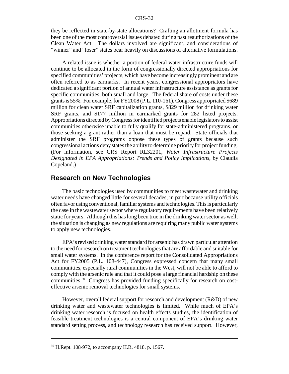they be reflected in state-by-state allocations? Crafting an allotment formula has been one of the most controversial issues debated during past reauthorizations of the Clean Water Act. The dollars involved are significant, and considerations of "winner" and "loser" states bear heavily on discussions of alternative formulations.

A related issue is whether a portion of federal water infrastructure funds will continue to be allocated in the form of congressionally directed appropriations for specified communities' projects, which have become increasingly prominent and are often referred to as earmarks. In recent years, congressional appropriators have dedicated a significant portion of annual water infrastructure assistance as grants for specific communities, both small and large. The federal share of costs under these grants is 55%. For example, for FY2008 (P.L. 110-161), Congress appropriated \$689 million for clean water SRF capitalization grants, \$829 million for drinking water SRF grants, and \$177 million in earmarked grants for 282 listed projects. Appropriations directed by Congress for identified projects enable legislators to assist communities otherwise unable to fully qualify for state-administered programs, or those seeking a grant rather than a loan that must be repaid. State officials that administer the SRF programs oppose these types of grants because such congressional actions deny states the ability to determine priority for project funding. (For information, see CRS Report RL32201, *Water Infrastructure Projects Designated in EPA Appropriations: Trends and Policy Implications*, by Claudia Copeland.)

## **Research on New Technologies**

The basic technologies used by communities to meet wastewater and drinking water needs have changed little for several decades, in part because utility officials often favor using conventional, familiar systems and technologies. This is particularly the case in the wastewater sector where regulatory requirements have been relatively static for years. Although this has long been true in the drinking water sector as well, the situation is changing as new regulations are requiring many public water systems to apply new technologies.

EPA's revised drinking water standard for arsenic has drawn particular attention to the need for research on treatment technologies that are affordable and suitable for small water systems. In the conference report for the Consolidated Appropriations Act for FY2005 (P.L. 108-447), Congress expressed concern that many small communities, especially rural communities in the West, will not be able to afford to comply with the arsenic rule and that it could pose a large financial hardship on these communities.50 Congress has provided funding specifically for research on costeffective arsenic removal technologies for small systems.

However, overall federal support for research and development (R&D) of new drinking water and wastewater technologies is limited. While much of EPA's drinking water research is focused on health effects studies, the identification of feasible treatment technologies is a central component of EPA's drinking water standard setting process, and technology research has received support. However,

<sup>50</sup> H.Rept. 108-972, to accompany H.R. 4818, p. 1567.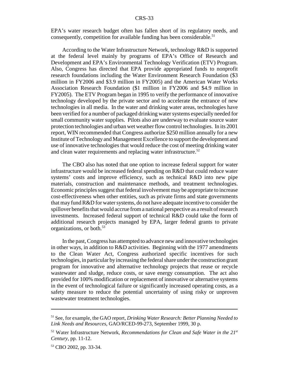EPA's water research budget often has fallen short of its regulatory needs, and consequently, competition for available funding has been considerable.<sup>51</sup>

According to the Water Infrastructure Network, technology R&D is supported at the federal level mainly by programs of EPA's Office of Research and Development and EPA's Environmental Technology Verification (ETV) Program. Also, Congress has directed that EPA provide appropriated funds to nonprofit research foundations including the Water Environment Research Foundation (\$3 million in FY2006 and \$3.9 million in FY2005) and the American Water Works Association Research Foundation (\$1 million in FY2006 and \$4.9 million in FY2005). The ETV Program began in 1995 to verify the performance of innovative technology developed by the private sector and to accelerate the entrance of new technologies in all media. In the water and drinking water areas, technologies have been verified for a number of packaged drinking water systems especially needed for small community water supplies. Pilots also are underway to evaluate source water protection technologies and urban wet weather flow control technologies. In its 2001 report, WIN recommended that Congress authorize \$250 million annually for a new Institute of Technology and Management Excellence to support the development and use of innovative technologies that would reduce the cost of meeting drinking water and clean water requirements and replacing water infrastructure.<sup>52</sup>

The CBO also has noted that one option to increase federal support for water infrastructure would be increased federal spending on R&D that could reduce water systems' costs and improve efficiency, such as technical R&D into new pipe materials, construction and maintenance methods, and treatment technologies. Economic principles suggest that federal involvement may be appropriate to increase cost-effectiveness when other entities, such as private firms and state governments that may fund R&D for water systems, do not have adequate incentive to consider the spillover benefits that would accrue from a national perspective as a result of research investments. Increased federal support of technical R&D could take the form of additional research projects managed by EPA, larger federal grants to private organizations, or both.53

In the past, Congress has attempted to advance new and innovative technologies in other ways, in addition to R&D activities. Beginning with the 1977 amendments to the Clean Water Act, Congress authorized specific incentives for such technologies, in particular by increasing the federal share under the construction grant program for innovative and alternative technology projects that reuse or recycle wastewater and sludge, reduce costs, or save energy consumption. The act also provided for 100% modification or replacement of innovative or alternative systems in the event of technological failure or significantly increased operating costs, as a safety measure to reduce the potential uncertainty of using risky or unproven wastewater treatment technologies.

<sup>51</sup> See, for example, the GAO report, *Drinking Water Research: Better Planning Needed to Link Needs and Resources,* GAO/RCED-99-273, September 1999, 30 p.

<sup>52</sup> Water Infrastructure Network, *Recommendations for Clean and Safe Water in the 21st Century*, pp. 11-12.

<sup>53</sup> CBO 2002, pp. 33-34.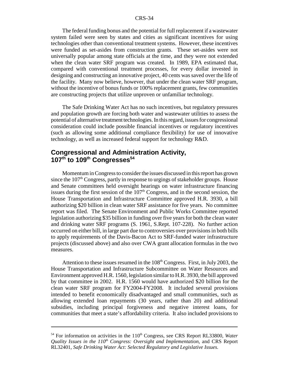The federal funding bonus and the potential for full replacement if a wastewater system failed were seen by states and cities as significant incentives for using technologies other than conventional treatment systems. However, these incentives were funded as set-asides from construction grants. These set-asides were not universally popular among state officials at the time, and they were not extended when the clean water SRF program was created. In 1989, EPA estimated that, compared with conventional treatment processes, for every dollar invested in designing and constructing an innovative project, 40 cents was saved over the life of the facility. Many now believe, however, that under the clean water SRF program, without the incentive of bonus funds or 100% replacement grants, few communities are constructing projects that utilize unproven or unfamiliar technology.

The Safe Drinking Water Act has no such incentives, but regulatory pressures and population growth are forcing both water and wastewater utilities to assess the potential of alternative treatment technologies. In this regard, issues for congressional consideration could include possible financial incentives or regulatory incentives (such as allowing some additional compliance flexibility) for use of innovative technology, as well as increased federal support for technology R&D.

## **Congressional and Administration Activity, 107th to 109th Congresses54**

Momentum in Congress to consider the issues discussed in this report has grown since the  $107<sup>th</sup>$  Congress, partly in response to urgings of stakeholder groups. House and Senate committees held oversight hearings on water infrastructure financing issues during the first session of the  $107<sup>th</sup>$  Congress, and in the second session, the House Transportation and Infrastructure Committee approved H.R. 3930, a bill authorizing \$20 billion in clean water SRF assistance for five years. No committee report was filed. The Senate Environment and Public Works Committee reported legislation authorizing \$35 billion in funding over five years for both the clean water and drinking water SRF programs (S. 1961, S.Rept. 107-228). No further action occurred on either bill, in large part due to controversies over provisions in both bills to apply requirements of the Davis-Bacon Act to SRF-funded water infrastructure projects (discussed above) and also over CWA grant allocation formulas in the two measures.

Attention to these issues resumed in the  $108<sup>th</sup> Congress$ . First, in July 2003, the House Transportation and Infrastructure Subcommittee on Water Resources and Environment approved H.R. 1560, legislation similar to H.R. 3930, the bill approved by that committee in 2002. H.R. 1560 would have authorized \$20 billion for the clean water SRF program for FY2004-FY2008. It included several provisions intended to benefit economically disadvantaged and small communities, such as allowing extended loan repayments (30 years, rather than 20) and additional subsidies, including principal forgiveness and negative interest loans, for communities that meet a state's affordability criteria. It also included provisions to

<sup>&</sup>lt;sup>54</sup> For information on activities in the 110<sup>th</sup> Congress, see CRS Report RL33800, *Water Quality Issues in the 110<sup>th</sup> Congress: Oversight and Implementation*, and CRS Report RL32401, *Safe Drinking Water Act: Selected Regulatory and Legislative Issues.*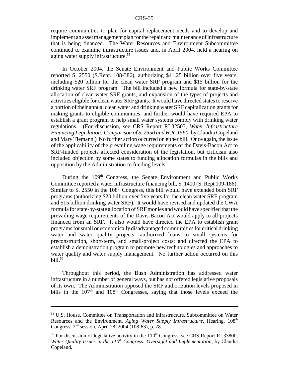require communities to plan for capital replacement needs and to develop and implement an asset management plan for the repair and maintenance of infrastructure that is being financed. The Water Resources and Environment Subcommittee continued to examine infrastructure issues and, in April 2004, held a hearing on aging water supply infrastructure.<sup>55</sup>

In October 2004, the Senate Environment and Public Works Committee reported S. 2550 (S.Rept. 108-386), authorizing \$41.25 billion over five years, including \$20 billion for the clean water SRF program and \$15 billion for the drinking water SRF program. The bill included a new formula for state-by-state allocation of clean water SRF grants, and expansion of the types of projects and activities eligible for clean water SRF grants. It would have directed states to reserve a portion of their annual clean water and drinking water SRF capitalization grants for making grants to eligible communities, and further would have required EPA to establish a grant program to help small water systems comply with drinking water regulations. (For discussion, see CRS Report RL32503, *Water Infrastructure Financing Legislation: Comparison of S. 2550 and H.R. 1560*, by Claudia Copeland and Mary Tiemann.) No further action occurred on either bill. Once again, the issue of the applicability of the prevailing wage requirements of the Davis-Bacon Act to SRF-funded projects affected consideration of the legislation, but criticism also included objection by some states to funding allocation formulas in the bills and opposition by the Administration to funding levels.

During the 109<sup>th</sup> Congress, the Senate Environment and Public Works Committee reported a water infrastructure financing bill, S. 1400 (S. Rept 109-186). Similar to S. 2550 in the  $108<sup>th</sup>$  Congress, this bill would have extended both SRF programs (authorizing \$20 billion over five years for the clean water SRF program and \$15 billion drinking water SRF). It would have revised and updated the CWA formula for state-by-state allocation of SRF monies and would have specified that the prevailing wage requirements of the Davis-Bacon Act would apply to all projects financed from an SRF. It also would have directed the EPA to establish grant programs for small or economically disadvantaged communities for critical drinking water and water quality projects; authorized loans to small systems for preconstruction, short-term, and small-project costs; and directed the EPA to establish a demonstration program to promote new technologies and approaches to water quality and water supply management. No further action occurred on this bill. $56$ 

Throughout this period, the Bush Administration has addressed water infrastructure in a number of general ways, but has not offered legislative proposals of its own. The Administration opposed the SRF authorization levels proposed in bills in the  $107<sup>th</sup>$  and  $108<sup>th</sup>$  Congresses, saying that those levels exceed the

<sup>55</sup> U.S. House, Committee on Transportation and Infrastructure, Subcommittee on Water Resources and the Environment, *Aging Water Supply Infrastructure*, Hearing, 108<sup>th</sup> Congress, 2nd session, April 28, 2004 (108-63), p. 78.

 $56$  For discussion of legislative activity in the  $110<sup>th</sup>$  Congress, see CRS Report RL33800, *Water Quality Issues in the*  $110<sup>th</sup> Congress: Oversight and Implementation$ *, by Claudia* Copeland.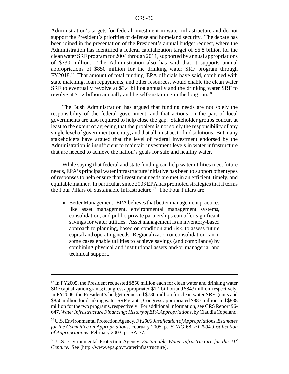Administration's targets for federal investment in water infrastructure and do not support the President's priorities of defense and homeland security. The debate has been joined in the presentation of the President's annual budget request, where the Administration has identified a federal capitalization target of \$6.8 billion for the clean water SRF program for 2004 through 2011, supported by annual appropriations of \$730 million. The Administration also has said that it supports annual appropriations of \$850 million for the drinking water SRF program through FY2018.57 That amount of total funding, EPA officials have said, combined with state matching, loan repayments, and other resources, would enable the clean water SRF to eventually revolve at \$3.4 billion annually and the drinking water SRF to revolve at \$1.2 billion annually and be self-sustaining in the long run.<sup>58</sup>

The Bush Administration has argued that funding needs are not solely the responsibility of the federal government, and that actions on the part of local governments are also required to help close the gap. Stakeholder groups concur, at least to the extent of agreeing that the problem is not solely the responsibility of any single level of government or entity, and that all must act to find solutions. But many stakeholders have argued that the level of federal investment endorsed by the Administration is insufficient to maintain investment levels in water infrastructure that are needed to achieve the nation's goals for safe and healthy water.

While saying that federal and state funding can help water utilities meet future needs, EPA's principal water infrastructure initiative has been to support other types of responses to help ensure that investment needs are met in an efficient, timely, and equitable manner. In particular, since 2003 EPA has promoted strategies that it terms the Four Pillars of Sustainable Infrastructure.<sup>59</sup> The Four Pillars are:

• Better Management. EPA believes that better management practices like asset management, environmental management systems, consolidation, and public-private partnerships can offer significant savings for water utilities. Asset management is an inventory-based approach to planning, based on condition and risk, to assess future capital and operating needs. Regionalization or consolidation can in some cases enable utilities to achieve savings (and compliance) by combining physical and institutional assets and/or managerial and technical support.

<sup>&</sup>lt;sup>57</sup> In FY2005, the President requested \$850 million each for clean water and drinking water SRF capitalization grants; Congress appropriated \$1.1 billion and \$843 million, respectively. In FY2006, the President's budget requested \$730 million for clean water SRF grants and \$850 million for drinking water SRF grants; Congress appropriated \$887 million and \$838 million for the two programs, respectively. For additional information, see CRS Report 96- 647, *Water Infrastructure Financing: History of EPA Appropriations*, by Claudia Copeland.

<sup>58</sup> U.S. Environmental Protection Agency, *FY2006 Justification of Appropriations, Estimates for the Committee on Appropriations,* February 2005, p. STAG-68; *FY2004 Justification of Appropriations,* February 2003, p. SA-37.

<sup>59</sup> U.S. Environmental Protection Agency, *Sustainable Water Infrastructure for the 21st Century.* See [http://www.epa.gov/waterinfrastructure].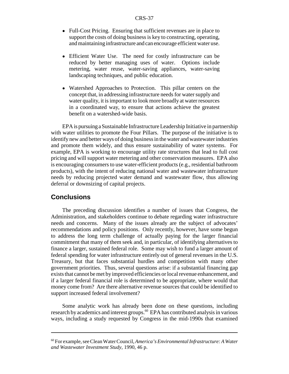- Full-Cost Pricing. Ensuring that sufficient revenues are in place to support the costs of doing business is key to constructing, operating, and maintaining infrastructure and can encourage efficient water use.
- Efficient Water Use. The need for costly infrastructure can be reduced by better managing uses of water. Options include metering, water reuse, water-saving appliances, water-saving landscaping techniques, and public education.
- ! Watershed Approaches to Protection. This pillar centers on the concept that, in addressing infrastructure needs for water supply and water quality, it is important to look more broadly at water resources in a coordinated way, to ensure that actions achieve the greatest benefit on a watershed-wide basis.

EPA is pursuing a Sustainable Infrastructure Leadership Initiative in partnership with water utilities to promote the Four Pillars. The purpose of the initiative is to identify new and better ways of doing business in the water and wastewater industries and promote them widely, and thus ensure sustainability of water systems. For example, EPA is working to encourage utility rate structures that lead to full cost pricing and will support water metering and other conservation measures. EPA also is encouraging consumers to use water-efficient products (e.g., residential bathroom products), with the intent of reducing national water and wastewater infrastructure needs by reducing projected water demand and wastewater flow, thus allowing deferral or downsizing of capital projects.

## **Conclusions**

The preceding discussion identifies a number of issues that Congress, the Administration, and stakeholders continue to debate regarding water infrastructure needs and concerns. Many of the issues already are the subject of advocates' recommendations and policy positions. Only recently, however, have some begun to address the long term challenge of actually paying for the larger financial commitment that many of them seek and, in particular, of identifying alternatives to finance a larger, sustained federal role. Some may wish to fund a larger amount of federal spending for water infrastructure entirely out of general revenues in the U.S. Treasury, but that faces substantial hurdles and competition with many other government priorities. Thus, several questions arise: if a substantial financing gap exists that cannot be met by improved efficiencies or local revenue enhancement, and if a larger federal financial role is determined to be appropriate, where would that money come from? Are there alternative revenue sources that could be identified to support increased federal involvement?

Some analytic work has already been done on these questions, including research by academics and interest groups.<sup>60</sup> EPA has contributed analysis in various ways, including a study requested by Congress in the mid-1990s that examined

<sup>60</sup> For example, see Clean Water Council, *America's Environmental Infrastructure: A Water and Wastewater Investment Study,* 1990, 46 p.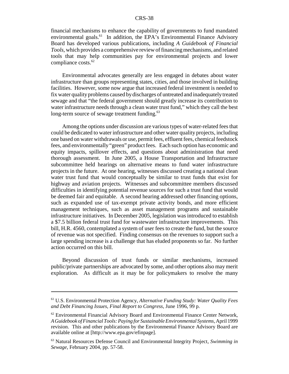financial mechanisms to enhance the capability of governments to fund mandated environmental goals.<sup>61</sup> In addition, the EPA's Environmental Finance Advisory Board has developed various publications, including *A Guidebook of Financial Tools*, which provides a comprehensive review of financing mechanisms, and related tools that may help communities pay for environmental projects and lower compliance costs.<sup>62</sup>

Environmental advocates generally are less engaged in debates about water infrastructure than groups representing states, cities, and those involved in building facilities. However, some now argue that increased federal investment is needed to fix water quality problems caused by discharges of untreated and inadequately treated sewage and that "the federal government should greatly increase its contribution to water infrastructure needs through a clean water trust fund," which they call the best long-term source of sewage treatment funding.<sup>63</sup>

Among the options under discussion are various types of water-related fees that could be dedicated to water infrastructure and other water quality projects, including one based on water withdrawals or use, permit fees, effluent fees, chemical feedstock fees, and environmentally "green" product fees. Each such option has economic and equity impacts, spillover effects, and questions about administration that need thorough assessment. In June 2005, a House Transportation and Infrastructure subcommittee held hearings on alternative means to fund water infrastructure projects in the future. At one hearing, witnesses discussed creating a national clean water trust fund that would conceptually be similar to trust funds that exist for highway and aviation projects. Witnesses and subcommittee members discussed difficulties in identifying potential revenue sources for such a trust fund that would be deemed fair and equitable. A second hearing addressed other financing options, such as expanded use of tax-exempt private activity bonds, and more efficient management techniques, such as asset management programs and sustainable infrastructure initiatives. In December 2005, legislation was introduced to establish a \$7.5 billion federal trust fund for wastewater infrastructure improvements. This bill, H.R. 4560, contemplated a system of user fees to create the fund, but the source of revenue was not specified. Finding consensus on the revenues to support such a large spending increase is a challenge that has eluded proponents so far. No further action occurred on this bill.

Beyond discussion of trust funds or similar mechanisms, increased public/private partnerships are advocated by some, and other options also may merit exploration. As difficult as it may be for policymakers to resolve the many

<sup>61</sup> U.S. Environmental Protection Agency, *Alternative Funding Study: Water Quality Fees and Debt Financing Issues, Final Report to Congress*, June 1996, 99 p.

 $62$  Environmental Financial Advisory Board and Environmental Finance Center Network, *A Guidebook of Financial Tools: Paying for Sustainable Environmental Systems,* April 1999 revision. This and other publications by the Environmental Finance Advisory Board are available online at [http://www.epa.gov/efinpage].

<sup>63</sup> Natural Resources Defense Council and Environmental Integrity Project, *Swimming in Sewage*, February 2004, pp. 57-58.